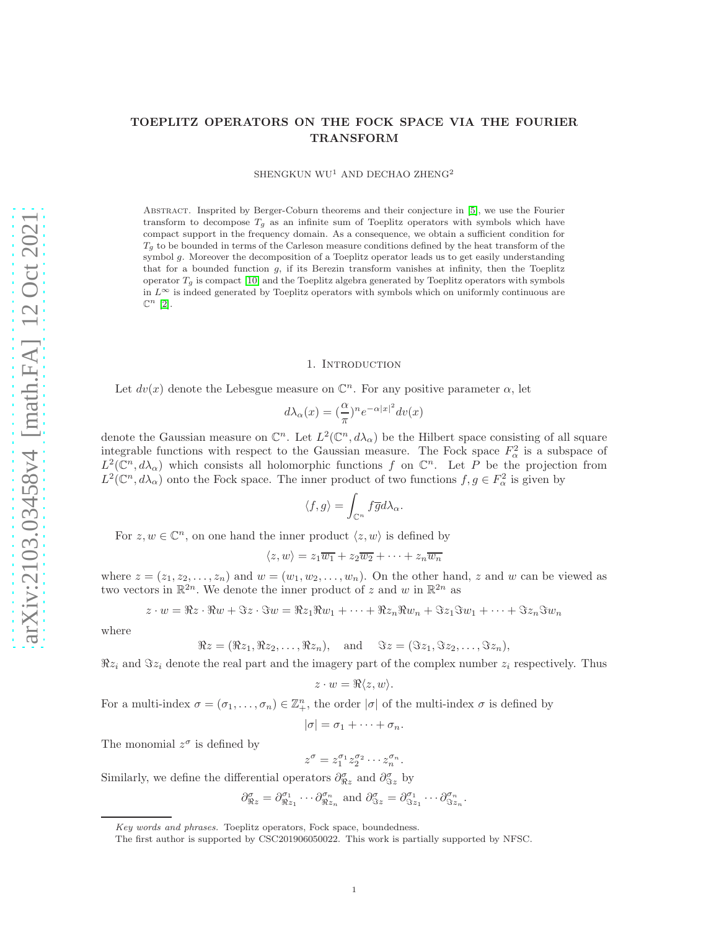# TOEPLITZ OPERATORS ON THE FOCK SPACE VIA THE FOURIER TRANSFORM

SHENGKUN WU<sup>1</sup> AND DECHAO ZHENG<sup>2</sup>

Abstract. Insprited by Berger-Coburn theorems and their conjecture in [\[5\]](#page-20-0), we use the Fourier transform to decompose  $T<sub>g</sub>$  as an infinite sum of Toeplitz operators with symbols which have compact support in the frequency domain. As a consequence, we obtain a sufficient condition for  $T_q$  to be bounded in terms of the Carleson measure conditions defined by the heat transform of the symbol g. Moreover the decomposition of a Toeplitz operator leads us to get easily understanding that for a bounded function g, if its Berezin transform vanishes at infinity, then the Toeplitz operator  $T_q$  is compact [\[10\]](#page-20-1) and the Toeplitz algebra generated by Toeplitz operators with symbols in  $L^{\infty}$  is indeed generated by Toeplitz operators with symbols which on uniformly continuous are  $\mathbb{C}^n$  [\[2\]](#page-20-2).

#### 1. Introduction

Let  $dv(x)$  denote the Lebesgue measure on  $\mathbb{C}^n$ . For any positive parameter  $\alpha$ , let

$$
d\lambda_\alpha(x)=(\frac{\alpha}{\pi})^ne^{-\alpha|x|^2}dv(x)
$$

denote the Gaussian measure on  $\mathbb{C}^n$ . Let  $L^2(\mathbb{C}^n,d\lambda_\alpha)$  be the Hilbert space consisting of all square integrable functions with respect to the Gaussian measure. The Fock space  $F^2_\alpha$  is a subspace of  $L^2(\mathbb{C}^n,d\lambda_\alpha)$  which consists all holomorphic functions f on  $\mathbb{C}^n$ . Let P be the projection from  $L^2(\mathbb{C}^n, d\lambda_\alpha)$  onto the Fock space. The inner product of two functions  $f, g \in F_\alpha^2$  is given by

$$
\langle f, g \rangle = \int_{\mathbb{C}^n} f \overline{g} d\lambda_{\alpha}.
$$

For  $z, w \in \mathbb{C}^n$ , on one hand the inner product  $\langle z, w \rangle$  is defined by

$$
\langle z, w \rangle = z_1 \overline{w_1} + z_2 \overline{w_2} + \cdots + z_n \overline{w_n}
$$

where  $z = (z_1, z_2, \ldots, z_n)$  and  $w = (w_1, w_2, \ldots, w_n)$ . On the other hand, z and w can be viewed as two vectors in  $\mathbb{R}^{2n}$ . We denote the inner product of z and w in  $\mathbb{R}^{2n}$  as

$$
z \cdot w = \Re z \cdot \Re w + \Im z \cdot \Im w = \Re z_1 \Re w_1 + \dots + \Re z_n \Re w_n + \Im z_1 \Im w_1 + \dots + \Im z_n \Im w_n
$$

where

$$
\Re z = (\Re z_1, \Re z_2, \dots, \Re z_n), \quad \text{and} \quad \Im z = (\Im z_1, \Im z_2, \dots, \Im z_n),
$$

 $\Re z_i$  and  $\Im z_i$  denote the real part and the imagery part of the complex number  $z_i$  respectively. Thus

$$
z \cdot w = \Re\langle z, w \rangle.
$$

For a multi-index  $\sigma = (\sigma_1, \ldots, \sigma_n) \in \mathbb{Z}_+^n$ , the order  $|\sigma|$  of the multi-index  $\sigma$  is defined by

$$
|\sigma|=\sigma_1+\cdots+\sigma_n.
$$

The monomial  $z^{\sigma}$  is defined by

$$
z^{\sigma} = z_1^{\sigma_1} z_2^{\sigma_2} \cdots z_n^{\sigma_n}.
$$

Similarly, we define the differential operators  $\partial_{\Re z}^{\sigma}$  and  $\partial_{\Im z}^{\sigma}$  by

$$
\partial_{\Re z}^{\sigma} = \partial_{\Re z_1}^{\sigma_1} \cdots \partial_{\Re z_n}^{\sigma_n} \text{ and } \partial_{\Im z}^{\sigma} = \partial_{\Im z_1}^{\sigma_1} \cdots \partial_{\Im z_n}^{\sigma_n}.
$$

Key words and phrases. Toeplitz operators, Fock space, boundedness.

The first author is supported by CSC201906050022. This work is partially supported by NFSC.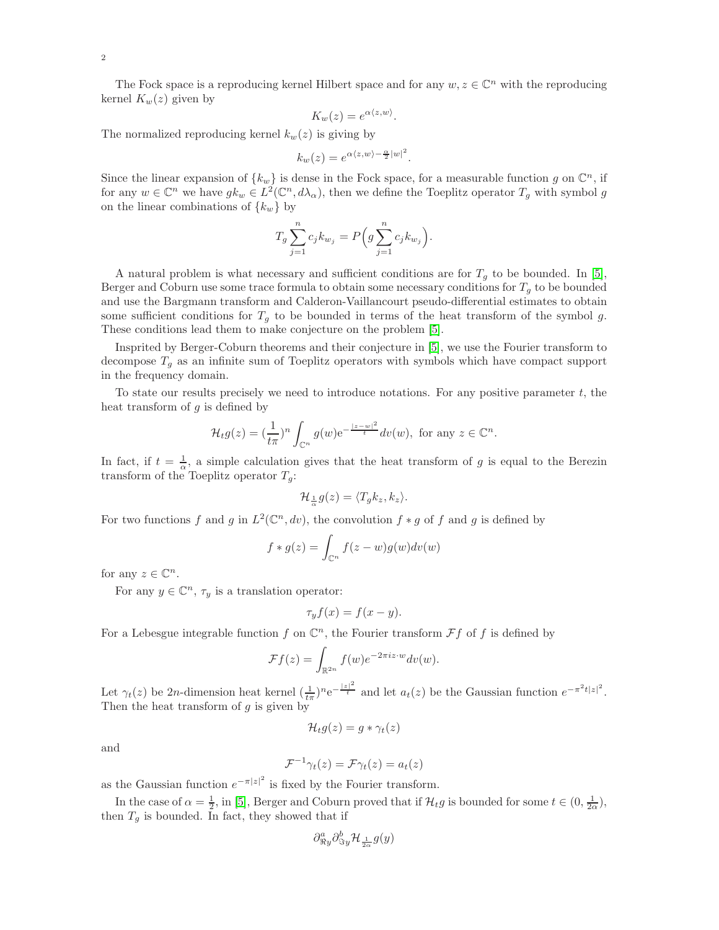The Fock space is a reproducing kernel Hilbert space and for any  $w, z \in \mathbb{C}^n$  with the reproducing kernel  $K_w(z)$  given by

$$
K_w(z) = e^{\alpha \langle z, w \rangle}.
$$

The normalized reproducing kernel  $k_w(z)$  is giving by

$$
k_w(z) = e^{\alpha \langle z, w \rangle - \frac{\alpha}{2} |w|^2}.
$$

Since the linear expansion of  $\{k_w\}$  is dense in the Fock space, for a measurable function g on  $\mathbb{C}^n$ , if for any  $w \in \mathbb{C}^n$  we have  $g k_w \in L^2(\mathbb{C}^n, d\lambda_\alpha)$ , then we define the Toeplitz operator  $T_g$  with symbol g on the linear combinations of  $\{k_w\}$  by

$$
T_g \sum_{j=1}^n c_j k_{w_j} = P\Big(g \sum_{j=1}^n c_j k_{w_j}\Big).
$$

A natural problem is what necessary and sufficient conditions are for  $T_g$  to be bounded. In [\[5\]](#page-20-0), Berger and Coburn use some trace formula to obtain some necessary conditions for  $T<sub>g</sub>$  to be bounded and use the Bargmann transform and Calderon-Vaillancourt pseudo-differential estimates to obtain some sufficient conditions for  $T<sub>g</sub>$  to be bounded in terms of the heat transform of the symbol g. These conditions lead them to make conjecture on the problem [\[5\]](#page-20-0).

Insprited by Berger-Coburn theorems and their conjecture in [\[5\]](#page-20-0), we use the Fourier transform to decompose  $T_g$  as an infinite sum of Toeplitz operators with symbols which have compact support in the frequency domain.

To state our results precisely we need to introduce notations. For any positive parameter  $t$ , the heat transform of  $q$  is defined by

$$
\mathcal{H}_tg(z)=(\frac{1}{t\pi})^n\int_{\mathbb{C}^n}g(w)\mathrm{e}^{-\frac{|z-w|^2}{t}}dv(w), \text{ for any } z\in\mathbb{C}^n.
$$

In fact, if  $t = \frac{1}{\alpha}$ , a simple calculation gives that the heat transform of g is equal to the Berezin transform of the Toeplitz operator  $T_g$ :

$$
\mathcal{H}_{\frac{1}{\alpha}}g(z)=\langle T_gk_z,k_z\rangle.
$$

For two functions f and g in  $L^2(\mathbb{C}^n, dv)$ , the convolution  $f * g$  of f and g is defined by

$$
f * g(z) = \int_{\mathbb{C}^n} f(z - w)g(w)dv(w)
$$

for any  $z \in \mathbb{C}^n$ .

For any  $y \in \mathbb{C}^n$ ,  $\tau_y$  is a translation operator:

$$
\tau_y f(x) = f(x - y).
$$

For a Lebesgue integrable function f on  $\mathbb{C}^n$ , the Fourier transform  $\mathcal{F}f$  of f is defined by

$$
\mathcal{F}f(z) = \int_{\mathbb{R}^{2n}} f(w) e^{-2\pi i z \cdot w} dv(w).
$$

Let  $\gamma_t(z)$  be 2n-dimension heat kernel  $(\frac{1}{t\pi})^n e^{-\frac{|z|^2}{t}}$  and let  $a_t(z)$  be the Gaussian function  $e^{-\pi^2t|z|^2}$ . Then the heat transform of  $q$  is given by

$$
\mathcal{H}_t g(z) = g * \gamma_t(z)
$$

and

$$
\mathcal{F}^{-1}\gamma_t(z) = \mathcal{F}\gamma_t(z) = a_t(z)
$$

as the Gaussian function  $e^{-\pi |z|^2}$  is fixed by the Fourier transform.

In the case of  $\alpha = \frac{1}{2}$ , in [\[5\]](#page-20-0), Berger and Coburn proved that if  $\mathcal{H}_t g$  is bounded for some  $t \in (0, \frac{1}{2\alpha})$ , then  $T_g$  is bounded. In fact, they showed that if

$$
\partial^a_{\Re y}\partial^b_{\Im y}\mathcal{H}_{\frac{1}{2\alpha}}g(y)
$$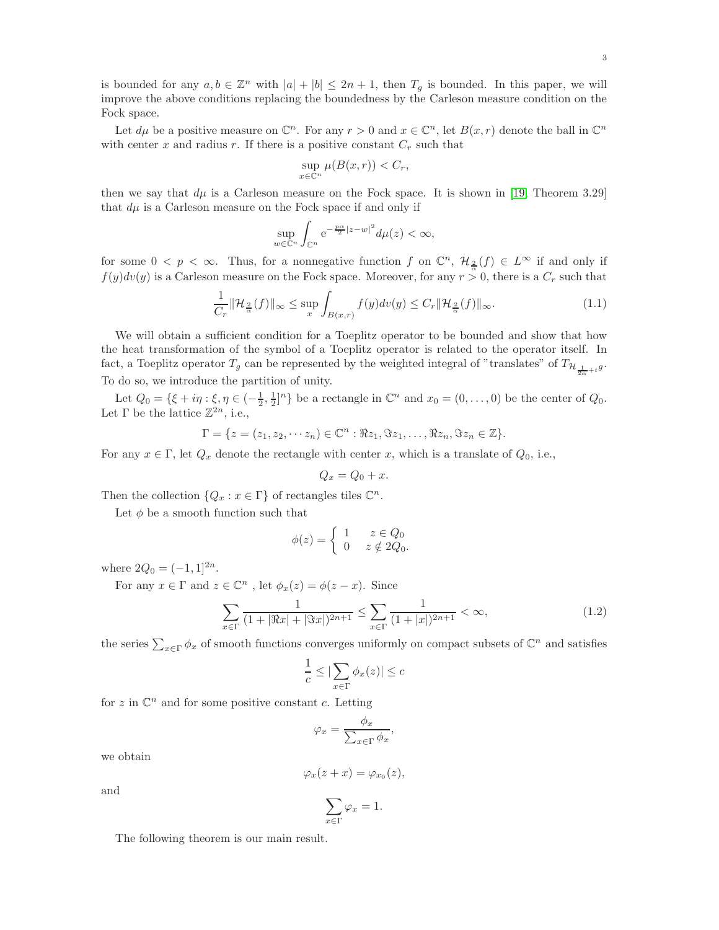3

is bounded for any  $a, b \in \mathbb{Z}^n$  with  $|a| + |b| \leq 2n + 1$ , then  $T_g$  is bounded. In this paper, we will improve the above conditions replacing the boundedness by the Carleson measure condition on the Fock space.

Let  $d\mu$  be a positive measure on  $\mathbb{C}^n$ . For any  $r > 0$  and  $x \in \mathbb{C}^n$ , let  $B(x, r)$  denote the ball in  $\mathbb{C}^n$ with center x and radius r. If there is a positive constant  $C_r$  such that

$$
\sup_{x \in \mathbb{C}^n} \mu(B(x,r)) < C_r,
$$

then we say that  $d\mu$  is a Carleson measure on the Fock space. It is shown in [\[19,](#page-21-0) Theorem 3.29] that  $d\mu$  is a Carleson measure on the Fock space if and only if

$$
\sup_{w \in \mathbb{C}^n} \int_{\mathbb{C}^n} e^{-\frac{p\alpha}{2}|z-w|^2} d\mu(z) < \infty,
$$

for some  $0 < p < \infty$ . Thus, for a nonnegative function f on  $\mathbb{C}^n$ ,  $\mathcal{H}_{\frac{2}{\alpha}}(f) \in L^{\infty}$  if and only if  $f(y)dv(y)$  is a Carleson measure on the Fock space. Moreover, for any  $r > 0$ , there is a  $C_r$  such that

$$
\frac{1}{C_r} \|\mathcal{H}_{\frac{2}{\alpha}}(f)\|_{\infty} \le \sup_{x} \int_{B(x,r)} f(y)dv(y) \le C_r \|\mathcal{H}_{\frac{2}{\alpha}}(f)\|_{\infty}.
$$
\n(1.1)

We will obtain a sufficient condition for a Toeplitz operator to be bounded and show that how the heat transformation of the symbol of a Toeplitz operator is related to the operator itself. In fact, a Toeplitz operator  $T_g$  can be represented by the weighted integral of "translates" of  $T_{\mathcal{H}_{\frac{1}{2\alpha}+t}g}$ . To do so, we introduce the partition of unity.

Let  $Q_0 = \{\xi + i\eta : \xi, \eta \in \left(-\frac{1}{2}, \frac{1}{2}\right]^n\}$  be a rectangle in  $\mathbb{C}^n$  and  $x_0 = (0, \ldots, 0)$  be the center of  $Q_0$ . Let  $\Gamma$  be the lattice  $\mathbb{Z}^{2n}$ , i.e.,

$$
\Gamma = \{ z = (z_1, z_2, \cdots z_n) \in \mathbb{C}^n : \Re z_1, \Im z_1, \ldots, \Re z_n, \Im z_n \in \mathbb{Z} \}.
$$

For any  $x \in \Gamma$ , let  $Q_x$  denote the rectangle with center x, which is a translate of  $Q_0$ , i.e.,

$$
Q_x = Q_0 + x.
$$

Then the collection  $\{Q_x : x \in \Gamma\}$  of rectangles tiles  $\mathbb{C}^n$ .

Let  $\phi$  be a smooth function such that

$$
\phi(z) = \begin{cases} 1 & z \in Q_0 \\ 0 & z \notin 2Q_0. \end{cases}
$$

where  $2Q_0 = (-1, 1]^{2n}$ .

For any  $x \in \Gamma$  and  $z \in \mathbb{C}^n$ , let  $\phi_x(z) = \phi(z - x)$ . Since

<span id="page-2-0"></span>
$$
\sum_{x \in \Gamma} \frac{1}{(1+|\Re x| + |\Im x|)^{2n+1}} \le \sum_{x \in \Gamma} \frac{1}{(1+|x|)^{2n+1}} < \infty,
$$
\n(1.2)

the series  $\sum_{x \in \Gamma} \phi_x$  of smooth functions converges uniformly on compact subsets of  $\mathbb{C}^n$  and satisfies

$$
\frac{1}{c} \le |\sum_{x \in \Gamma} \phi_x(z)| \le c
$$

for  $z$  in  $\mathbb{C}^n$  and for some positive constant c. Letting

$$
\varphi_x = \frac{\phi_x}{\sum_{x \in \Gamma} \phi_x},
$$

we obtain

$$
\varphi_x(z+x) = \varphi_{x_0}(z),
$$

and

$$
\sum_{x \in \Gamma} \varphi_x = 1.
$$

The following theorem is our main result.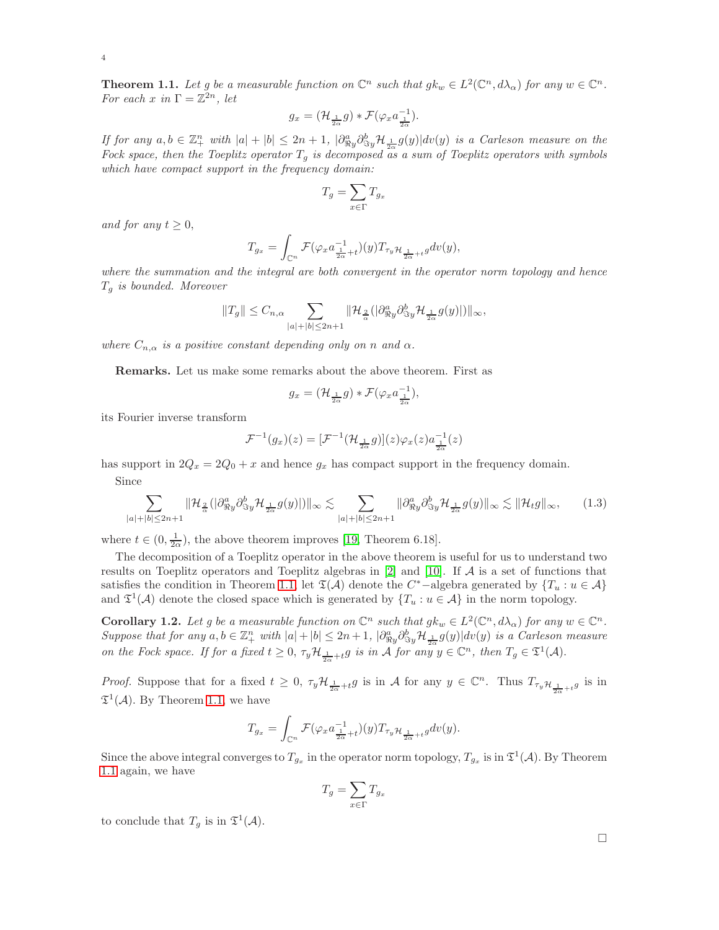4

<span id="page-3-0"></span>**Theorem 1.1.** Let g be a measurable function on  $\mathbb{C}^n$  such that  $g k_w \in L^2(\mathbb{C}^n, d\lambda_\alpha)$  for any  $w \in \mathbb{C}^n$ . *For each* x in  $\Gamma = \mathbb{Z}^{2n}$ *, let* 

$$
g_x = (\mathcal{H}_{\frac{1}{2\alpha}}g) * \mathcal{F}(\varphi_x a_{\frac{1}{2\alpha}}^{-1}).
$$

*If for any*  $a, b \in \mathbb{Z}_+^n$  with  $|a| + |b| \leq 2n + 1$ ,  $|\partial_{\Re y}^a \partial_{\Im y}^b \mathcal{H}_{\frac{1}{2a}} g(y)| dv(y)$  *is a Carleson measure on the* Fock space, then the Toeplitz operator  $T_g$  is decomposed as a sum of Toeplitz operators with symbols *which have compact support in the frequency domain:*

$$
T_g=\sum_{x\in\Gamma}T_{g_x}
$$

*and for any*  $t \geq 0$ ,

$$
T_{g_x} = \int_{\mathbb{C}^n} \mathcal{F}(\varphi_x a_{\frac{1}{2\alpha} + t}^{-1})(y) T_{\tau_y} \mathcal{H}_{\frac{1}{2\alpha} + t} g dv(y),
$$

*where the summation and the integral are both convergent in the operator norm topology and hence* T<sup>g</sup> *is bounded. Moreover*

$$
||T_g|| \leq C_{n,\alpha} \sum_{|a|+|b| \leq 2n+1} ||\mathcal{H}_{\frac{2}{\alpha}}(|\partial_{\Re y}^a \partial_{\Im y}^b \mathcal{H}_{\frac{1}{2\alpha}} g(y)||)||_{\infty},
$$

*where*  $C_{n,\alpha}$  *is a positive constant depending only on n and*  $\alpha$ *.* 

Remarks. Let us make some remarks about the above theorem. First as

$$
g_x = (\mathcal{H}_{\frac{1}{2\alpha}}g) * \mathcal{F}(\varphi_x a_{\frac{1}{2\alpha}}^{-1}),
$$

its Fourier inverse transform

$$
\mathcal{F}^{-1}(g_x)(z) = [\mathcal{F}^{-1}(\mathcal{H}_{\frac{1}{2\alpha}}g)](z)\varphi_x(z)a_{\frac{1}{2\alpha}}^{-1}(z)
$$

has support in  $2Q_x = 2Q_0 + x$  and hence  $g_x$  has compact support in the frequency domain.

Since

<span id="page-3-1"></span>
$$
\sum_{|a|+|b|\leq 2n+1} \|\mathcal{H}_{\frac{2}{\alpha}}(|\partial_{\Re y}^a \partial_{\Im y}^b \mathcal{H}_{\frac{1}{2\alpha}} g(y)|)\|_{\infty} \lesssim \sum_{|a|+|b|\leq 2n+1} \|\partial_{\Re y}^a \partial_{\Im y}^b \mathcal{H}_{\frac{1}{2\alpha}} g(y)\|_{\infty} \lesssim \|\mathcal{H}_t g\|_{\infty},\tag{1.3}
$$

where  $t \in (0, \frac{1}{2\alpha})$ , the above theorem improves [\[19,](#page-21-0) Theorem 6.18].

The decomposition of a Toeplitz operator in the above theorem is useful for us to understand two results on Toeplitz operators and Toeplitz algebras in  $[2]$  and  $[10]$ . If A is a set of functions that satisfies the condition in Theorem [1.1,](#page-3-0) let  $\mathfrak{T}(\mathcal{A})$  denote the C<sup>\*</sup>-algebra generated by  $\{T_u : u \in \mathcal{A}\}\$ and  $\mathfrak{T}^1(\mathcal{A})$  denote the closed space which is generated by  $\{T_u : u \in \mathcal{A}\}\$ in the norm topology.

**Corollary 1.2.** Let g be a measurable function on  $\mathbb{C}^n$  such that  $g k_w \in L^2(\mathbb{C}^n, d\lambda_\alpha)$  for any  $w \in \mathbb{C}^n$ .  $Suppose that for any  $a, b \in \mathbb{Z}_+^n$  with  $|a| + |b| \leq 2n + 1$ ,  $\left| \partial_{\Re y}^a \partial_{\Im y}^b \mathcal{H}_{\frac{1}{2\alpha}} g(y) \right| dv(y)$  is a Carleson measure$ *on the Fock space. If for a fixed*  $t \geq 0$ ,  $\tau_y \mathcal{H}_{\frac{1}{2\alpha} + t} g$  *is in*  $\mathcal{A}$  *for any*  $y \in \mathbb{C}^n$ *, then*  $T_g \in \mathfrak{T}^1(\mathcal{A})$ *.* 

*Proof.* Suppose that for a fixed  $t \geq 0$ ,  $\tau_y \mathcal{H}_{\frac{1}{2\alpha}+t} g$  is in A for any  $y \in \mathbb{C}^n$ . Thus  $T_{\tau_y} \mathcal{H}_{\frac{1}{2\alpha}+t} g$  is in  $\mathfrak{T}^1(\mathcal{A})$ . By Theorem [1.1,](#page-3-0) we have

$$
T_{g_x}=\int_{\mathbb{C}^n}\mathcal{F}(\varphi_xa^{-1}_{\frac{1}{2\alpha}+t})(y)T_{\tau_y}\mathcal{H}_{\frac{1}{2\alpha}+t}gdv(y).
$$

Since the above integral converges to  $T_{g_x}$  in the operator norm topology,  $T_{g_x}$  is in  $\mathfrak{T}^1(\mathcal{A})$ . By Theorem [1.1](#page-3-0) again, we have

$$
T_g = \sum_{x \in \Gamma} T_{g_x}
$$

to conclude that  $T_g$  is in  $\mathfrak{T}^1(\mathcal{A})$ .

 $\Box$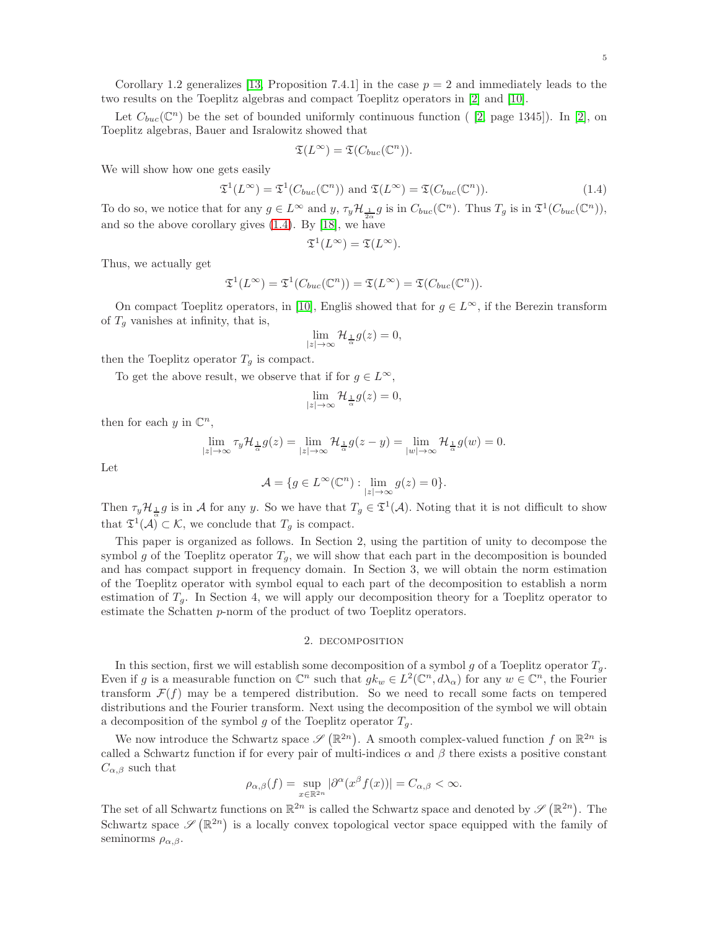Corollary 1.2 generalizes [\[13,](#page-21-1) Proposition 7.4.1] in the case  $p = 2$  and immediately leads to the two results on the Toeplitz algebras and compact Toeplitz operators in [\[2\]](#page-20-2) and [\[10\]](#page-20-1).

Let  $C_{buc}(\mathbb{C}^n)$  be the set of bounded uniformly continuous function ([2, page 1345]). In [\[2\]](#page-20-2), on Toeplitz algebras, Bauer and Isralowitz showed that

$$
\mathfrak{T}(L^{\infty})=\mathfrak{T}(C_{buc}(\mathbb{C}^n)).
$$

We will show how one gets easily

<span id="page-4-0"></span>
$$
\mathfrak{T}^1(L^{\infty}) = \mathfrak{T}^1(C_{buc}(\mathbb{C}^n)) \text{ and } \mathfrak{T}(L^{\infty}) = \mathfrak{T}(C_{buc}(\mathbb{C}^n)).
$$
\n(1.4)

To do so, we notice that for any  $g \in L^{\infty}$  and  $y, \tau_y \mathcal{H}_{\frac{1}{2\alpha}} g$  is in  $C_{buc}(\mathbb{C}^n)$ . Thus  $T_g$  is in  $\mathfrak{T}^1(C_{buc}(\mathbb{C}^n))$ , and so the above corollary gives [\(1.4\)](#page-4-0). By [\[18\]](#page-21-2), we have

$$
\mathfrak{T}^1(L^{\infty}) = \mathfrak{T}(L^{\infty}).
$$

Thus, we actually get

$$
\mathfrak{T}^1(L^{\infty}) = \mathfrak{T}^1(C_{buc}(\mathbb{C}^n)) = \mathfrak{T}(L^{\infty}) = \mathfrak{T}(C_{buc}(\mathbb{C}^n)).
$$

On compact Toeplitz operators, in [\[10\]](#page-20-1), Englis showed that for  $q \in L^{\infty}$ , if the Berezin transform of  $T<sub>g</sub>$  vanishes at infinity, that is,

$$
\lim_{|z| \to \infty} \mathcal{H}_{\frac{1}{\alpha}} g(z) = 0,
$$

then the Toeplitz operator  $T_g$  is compact.

To get the above result, we observe that if for  $g \in L^{\infty}$ ,

$$
\lim_{|z| \to \infty} \mathcal{H}_{\frac{1}{\alpha}} g(z) = 0,
$$

then for each  $y$  in  $\mathbb{C}^n$ ,

$$
\lim_{|z|\to\infty}\tau_y\mathcal{H}_{\frac{1}{\alpha}}g(z)=\lim_{|z|\to\infty}\mathcal{H}_{\frac{1}{\alpha}}g(z-y)=\lim_{|w|\to\infty}\mathcal{H}_{\frac{1}{\alpha}}g(w)=0.
$$

Let

$$
\mathcal{A} = \{ g \in L^{\infty}(\mathbb{C}^n) : \lim_{|z| \to \infty} g(z) = 0 \}.
$$

Then  $\tau_y \mathcal{H}_{\frac{1}{\alpha}} g$  is in A for any y. So we have that  $T_g \in \mathfrak{T}^1(\mathcal{A})$ . Noting that it is not difficult to show that  $\mathfrak{T}^1(\mathcal{A}) \subset \mathcal{K}$ , we conclude that  $T_g$  is compact.

This paper is organized as follows. In Section 2, using the partition of unity to decompose the symbol g of the Toeplitz operator  $T_q$ , we will show that each part in the decomposition is bounded and has compact support in frequency domain. In Section 3, we will obtain the norm estimation of the Toeplitz operator with symbol equal to each part of the decomposition to establish a norm estimation of  $T_q$ . In Section 4, we will apply our decomposition theory for a Toeplitz operator to estimate the Schatten p-norm of the product of two Toeplitz operators.

#### 2. decomposition

In this section, first we will establish some decomposition of a symbol g of a Toeplitz operator  $T_q$ . Even if g is a measurable function on  $\mathbb{C}^n$  such that  $g k_w \in L^2(\mathbb{C}^n, d\lambda_\alpha)$  for any  $w \in \mathbb{C}^n$ , the Fourier transform  $\mathcal{F}(f)$  may be a tempered distribution. So we need to recall some facts on tempered distributions and the Fourier transform. Next using the decomposition of the symbol we will obtain a decomposition of the symbol g of the Toeplitz operator  $T_g$ .

We now introduce the Schwartz space  $\mathscr{S}(\mathbb{R}^{2n})$ . A smooth complex-valued function f on  $\mathbb{R}^{2n}$  is called a Schwartz function if for every pair of multi-indices  $\alpha$  and  $\beta$  there exists a positive constant  $C_{\alpha,\beta}$  such that

$$
\rho_{\alpha,\beta}(f) = \sup_{x \in \mathbb{R}^{2n}} |\partial^{\alpha}(x^{\beta} f(x))| = C_{\alpha,\beta} < \infty.
$$

The set of all Schwartz functions on  $\mathbb{R}^{2n}$  is called the Schwartz space and denoted by  $\mathscr{S}(\mathbb{R}^{2n})$ . The Schwartz space  $\mathscr{S}(\mathbb{R}^{2n})$  is a locally convex topological vector space equipped with the family of seminorms  $\rho_{\alpha,\beta}$ .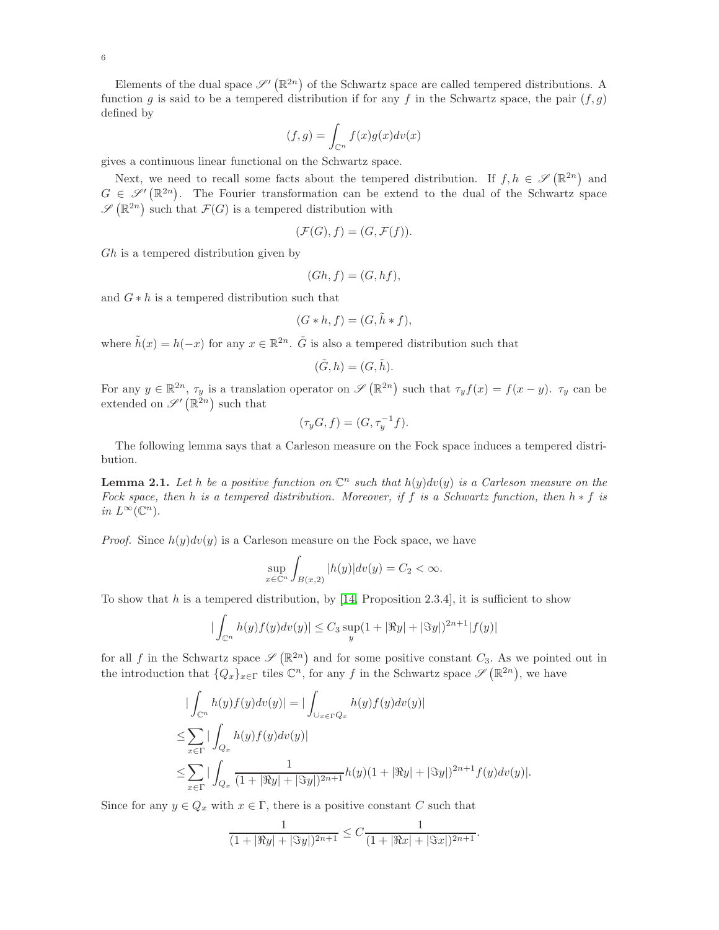Elements of the dual space  $\mathscr{S}'(\mathbb{R}^{2n})$  of the Schwartz space are called tempered distributions. A function g is said to be a tempered distribution if for any f in the Schwartz space, the pair  $(f, g)$ defined by

$$
(f,g) = \int_{\mathbb{C}^n} f(x)g(x)dv(x)
$$

gives a continuous linear functional on the Schwartz space.

Next, we need to recall some facts about the tempered distribution. If  $f, h \in \mathscr{S}(\mathbb{R}^{2n})$  and  $G \in \mathscr{S}'(\mathbb{R}^{2n})$ . The Fourier transformation can be extend to the dual of the Schwartz space  $\mathscr{S}(\mathbb{R}^{2n})$  such that  $\mathcal{F}(G)$  is a tempered distribution with

$$
(\mathcal{F}(G), f) = (G, \mathcal{F}(f)).
$$

Gh is a tempered distribution given by

$$
(Gh, f) = (G, hf),
$$

and  $G * h$  is a tempered distribution such that

$$
(G * h, f) = (G, \tilde{h} * f),
$$

where  $\tilde{h}(x) = h(-x)$  for any  $x \in \mathbb{R}^{2n}$ .  $\tilde{G}$  is also a tempered distribution such that

$$
(\tilde{G}, h) = (G, \tilde{h}).
$$

For any  $y \in \mathbb{R}^{2n}$ ,  $\tau_y$  is a translation operator on  $\mathscr{S}(\mathbb{R}^{2n})$  such that  $\tau_y f(x) = f(x - y)$ .  $\tau_y$  can be extended on  $\mathscr{S}'(\mathbb{R}^{2n})$  such that

$$
(\tau_y G, f) = (G, \tau_y^{-1} f).
$$

The following lemma says that a Carleson measure on the Fock space induces a tempered distribution.

<span id="page-5-0"></span>**Lemma 2.1.** Let h be a positive function on  $\mathbb{C}^n$  such that  $h(y)dv(y)$  is a Carleson measure on the *Fock space, then* h *is a tempered distribution. Moreover, if* f *is a Schwartz function, then* h ∗ f *is in*  $L^{\infty}(\mathbb{C}^n)$ .

*Proof.* Since  $h(y)dv(y)$  is a Carleson measure on the Fock space, we have

$$
\sup_{x \in \mathbb{C}^n} \int_{B(x,2)} |h(y)| dv(y) = C_2 < \infty.
$$

To show that h is a tempered distribution, by [\[14,](#page-21-3) Proposition 2.3.4], it is sufficient to show

$$
|\int_{\mathbb{C}^n} h(y)f(y)dv(y)| \leq C_3 \sup_y (1+|\Re y|+|\Im y|)^{2n+1}|f(y)|
$$

for all f in the Schwartz space  $\mathscr{S}(\mathbb{R}^{2n})$  and for some positive constant  $C_3$ . As we pointed out in the introduction that  $\{Q_x\}_{x\in\Gamma}$  tiles  $\mathbb{C}^n$ , for any f in the Schwartz space  $\mathscr{S}(\mathbb{R}^{2n})$ , we have

$$
\begin{aligned} &|\int_{\mathbb{C}^n} h(y)f(y)dv(y)| = |\int_{\cup_{x \in \Gamma} Q_x} h(y)f(y)dv(y)| \\ \leq & \sum_{x \in \Gamma} |\int_{Q_x} h(y)f(y)dv(y)| \\ \leq & \sum_{x \in \Gamma} |\int_{Q_x} \frac{1}{(1+|\Re y|+|\Im y|)^{2n+1}} h(y)(1+|\Re y|+|\Im y|)^{2n+1} f(y)dv(y)|. \end{aligned}
$$

Since for any  $y \in Q_x$  with  $x \in \Gamma$ , there is a positive constant C such that

$$
\frac{1}{(1+|\Re y|+|\Im y|)^{2n+1}} \leq C \frac{1}{(1+|\Re x|+|\Im x|)^{2n+1}}.
$$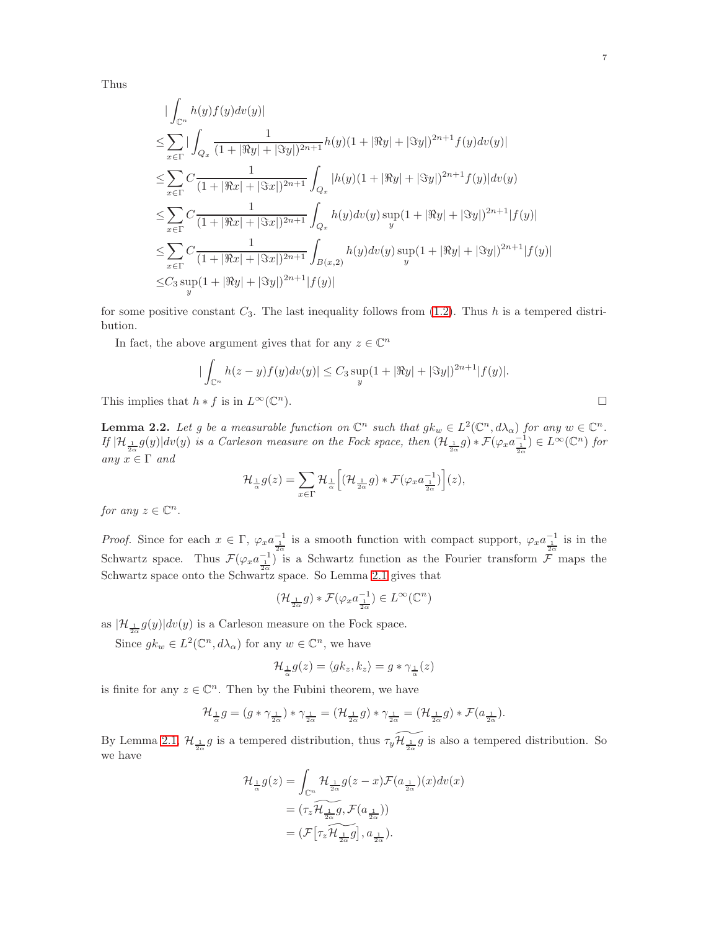Thus

$$
\begin{split} &|\int_{\mathbb{C}^n}h(y)f(y)dv(y)|\\ \leq &\sum_{x\in\Gamma}|\int_{Q_x}\frac{1}{(1+|\Re y|+|\Im y|)^{2n+1}}h(y)(1+|\Re y|+|\Im y|)^{2n+1}f(y)dv(y)|\\ \leq &\sum_{x\in\Gamma}C\frac{1}{(1+|\Re x|+|\Im x|)^{2n+1}}\int_{Q_x}|h(y)(1+|\Re y|+|\Im y|)^{2n+1}f(y)|dv(y)\\ \leq &\sum_{x\in\Gamma}C\frac{1}{(1+|\Re x|+|\Im x|)^{2n+1}}\int_{Q_x}h(y)dv(y)\sup_y(1+|\Re y|+|\Im y|)^{2n+1}|f(y)|\\ \leq &\sum_{x\in\Gamma}C\frac{1}{(1+|\Re x|+|\Im x|)^{2n+1}}\int_{B(x,2)}h(y)dv(y)\sup_y(1+|\Re y|+|\Im y|)^{2n+1}|f(y)|\\ \leq &C_3\sup_y(1+|\Re y|+|\Im y|)^{2n+1}|f(y)| \end{split}
$$

for some positive constant  $C_3$ . The last inequality follows from [\(1.2\)](#page-2-0). Thus h is a tempered distribution.

In fact, the above argument gives that for any  $z \in \mathbb{C}^n$ 

$$
\left| \int_{\mathbb{C}^n} h(z - y) f(y) dv(y) \right| \le C_3 \sup_y (1 + |\Re y| + |\Im y|)^{2n+1} |f(y)|.
$$
  

$$
h * f \text{ is in } L^{\infty}(\mathbb{C}^n).
$$

This implies that  $h * f$  is in  $L^{\infty}(\mathbb{C}^n)$ .

<span id="page-6-0"></span>**Lemma 2.2.** Let g be a measurable function on  $\mathbb{C}^n$  such that  $g k_w \in L^2(\mathbb{C}^n, d\lambda_\alpha)$  for any  $w \in \mathbb{C}^n$ .  $I$ f $\vert H_{\frac{1}{2\alpha}}g(y)\vert dv(y)$  *is a Carleson measure on the Fock space, then*  $(H_{\frac{1}{2\alpha}}g) * \mathcal{F}(\varphi_x a_{\frac{1}{2\alpha}}^{-1}) \in L^{\infty}(\mathbb{C}^n)$  for *any*  $x \in \Gamma$  *and* 

$$
\mathcal{H}_{\frac{1}{\alpha}}g(z)=\sum_{x\in \Gamma}\mathcal{H}_{\frac{1}{\alpha}}\Big[(\mathcal{H}_{\frac{1}{2\alpha}}g)*\mathcal{F}(\varphi_{x}a_{\frac{1}{2\alpha}}^{-1})\Big](z),
$$

*for any*  $z \in \mathbb{C}^n$ .

*Proof.* Since for each  $x \in \Gamma$ ,  $\varphi_x a_{\frac{1}{2\alpha}}^{-1}$  is a smooth function with compact support,  $\varphi_x a_{\frac{1}{2\alpha}}^{-1}$  is in the Schwartz space. Thus  $\mathcal{F}(\varphi_x a_{\frac{1}{2\alpha}}^{-1})$  is a Schwartz function as the Fourier transform  $\mathcal{F}$  maps the Schwartz space onto the Schwartz space. So Lemma [2.1](#page-5-0) gives that

$$
\left(\mathcal{H}_{\frac{1}{2\alpha}}g\right) * \mathcal{F}(\varphi_x a_{\frac{1}{2\alpha}}^{-1}) \in L^{\infty}(\mathbb{C}^n)
$$

as  $|\mathcal{H}_{\frac{1}{2\alpha}}g(y)|dv(y)$  is a Carleson measure on the Fock space.

Since  $g k_w \in L^2(\mathbb{C}^n, d\lambda_\alpha)$  for any  $w \in \mathbb{C}^n$ , we have

$$
\mathcal{H}_{\frac{1}{\alpha}}g(z) = \langle g k_z, k_z \rangle = g * \gamma_{\frac{1}{\alpha}}(z)
$$

is finite for any  $z \in \mathbb{C}^n$ . Then by the Fubini theorem, we have

$$
\mathcal{H}_{\frac{1}{\alpha}}g = (g * \gamma_{\frac{1}{2\alpha}}) * \gamma_{\frac{1}{2\alpha}} = (\mathcal{H}_{\frac{1}{2\alpha}}g) * \gamma_{\frac{1}{2\alpha}} = (\mathcal{H}_{\frac{1}{2\alpha}}g) * \mathcal{F}(a_{\frac{1}{2\alpha}}).
$$

By Lemma [2.1,](#page-5-0)  $\mathcal{H}_{\frac{1}{2\alpha}}g$  is a tempered distribution, thus  $\tau_y \widetilde{\mathcal{H}_{\frac{1}{2\alpha}}g}$  is also a tempered distribution. So we have

$$
\begin{aligned} \mathcal{H}_{\frac{1}{\alpha}}g(z) &= \int_{\mathbb{C}^n} \mathcal{H}_{\frac{1}{2\alpha}}g(z-x)\mathcal{F}(a_{\frac{1}{2\alpha}})(x)dv(x) \\ &= (\tau_z\widetilde{\mathcal{H}_{\frac{1}{2\alpha}}g}, \mathcal{F}(a_{\frac{1}{2\alpha}})) \\ &= (\mathcal{F}\big[\tau_z\widetilde{\mathcal{H}_{\frac{1}{2\alpha}}g}\big], a_{\frac{1}{2\alpha}}). \end{aligned}
$$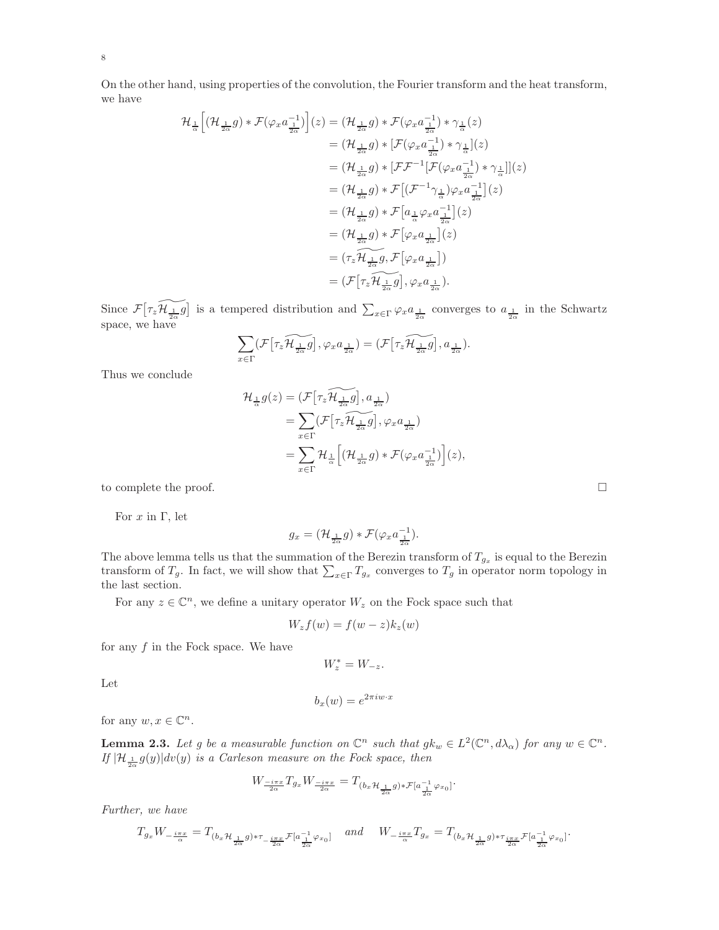On the other hand, using properties of the convolution, the Fourier transform and the heat transform, we have

$$
\mathcal{H}_{\frac{1}{\alpha}}\Big[\big(\mathcal{H}_{\frac{1}{2\alpha}}g\big)*\mathcal{F}(\varphi_x a_{\frac{1}{2\alpha}}^{-1})\Big](z) = \big(\mathcal{H}_{\frac{1}{2\alpha}}g\big)*\mathcal{F}(\varphi_x a_{\frac{1}{2\alpha}}^{-1})*\gamma_{\frac{1}{\alpha}}(z)
$$
\n
$$
= \big(\mathcal{H}_{\frac{1}{2\alpha}}g\big)*\big[\mathcal{F}(\varphi_x a_{\frac{1}{2\alpha}}^{-1})*\gamma_{\frac{1}{\alpha}}\big](z)
$$
\n
$$
= \big(\mathcal{H}_{\frac{1}{2\alpha}}g\big)*\big[\mathcal{F}\mathcal{F}^{-1}\big[\mathcal{F}(\varphi_x a_{\frac{1}{2\alpha}}^{-1})*\gamma_{\frac{1}{\alpha}}\big]\big](z)
$$
\n
$$
= \big(\mathcal{H}_{\frac{1}{2\alpha}}g\big)*\mathcal{F}\big[\big(\mathcal{F}^{-1}\gamma_{\frac{1}{\alpha}}\big)\varphi_x a_{\frac{1}{2\alpha}}^{-1}\big](z)
$$
\n
$$
= \big(\mathcal{H}_{\frac{1}{2\alpha}}g\big)*\mathcal{F}\big[a_{\frac{1}{\alpha}}\varphi_x a_{\frac{1}{2\alpha}}^{-1}\big](z)
$$
\n
$$
= \big(\mathcal{H}_{\frac{1}{2\alpha}}g\big)*\mathcal{F}\big[\varphi_x a_{\frac{1}{2\alpha}}^{-1}\big](z)
$$
\n
$$
= \big(\mathcal{H}_{\frac{1}{2\alpha}}g\big)*\mathcal{F}\big[\varphi_x a_{\frac{1}{2\alpha}}\big](z)
$$
\n
$$
= \big(\mathcal{F}\big[\mathcal{H}_{\frac{1}{2\alpha}}g\big],\varphi_x a_{\frac{1}{2\alpha}}\big].
$$

Since  $\mathcal{F}[\tau_z \widetilde{\mathcal{H}_{\frac{1}{2\alpha}}} \widetilde{g}]$  is a tempered distribution and  $\sum_{x \in \Gamma} \varphi_x a_{\frac{1}{2\alpha}}$  converges to  $a_{\frac{1}{2\alpha}}$  in the Schwartz space, we have

$$
\sum_{x \in \Gamma} (\mathcal{F} \left[ \tau_z \widetilde{\mathcal{H}_{\frac{1}{2\alpha}} g} \right], \varphi_x a_{\frac{1}{2\alpha}}) = (\mathcal{F} \left[ \tau_z \widetilde{\mathcal{H}_{\frac{1}{2\alpha}} g} \right], a_{\frac{1}{2\alpha}}).
$$

Thus we conclude

$$
\mathcal{H}_{\frac{1}{\alpha}}g(z) = (\mathcal{F}[\tau_z \widetilde{\mathcal{H}_{\frac{1}{2\alpha}}} g], a_{\frac{1}{2\alpha}})
$$
  
\n
$$
= \sum_{x \in \Gamma} (\mathcal{F}[\tau_z \widetilde{\mathcal{H}_{\frac{1}{2\alpha}}} g], \varphi_x a_{\frac{1}{2\alpha}})
$$
  
\n
$$
= \sum_{x \in \Gamma} \mathcal{H}_{\frac{1}{\alpha}} \Big[ (\mathcal{H}_{\frac{1}{2\alpha}} g) * \mathcal{F}(\varphi_x a_{\frac{1}{2\alpha}}^{-1}) \Big] (z),
$$

to complete the proof.

For  $x$  in  $\Gamma$ , let

$$
g_x = (\mathcal{H}_{\frac{1}{2\alpha}}g) * \mathcal{F}(\varphi_x a_{\frac{1}{2\alpha}}^{-1}).
$$

The above lemma tells us that the summation of the Berezin transform of  $T_{g_x}$  is equal to the Berezin transform of  $T_g$ . In fact, we will show that  $\sum_{x \in \Gamma} T_{g_x}$  converges to  $T_g$  in operator norm topology in the last section.

For any  $z \in \mathbb{C}^n$ , we define a unitary operator  $W_z$  on the Fock space such that

$$
W_z f(w) = f(w - z) k_z(w)
$$

for any  $f$  in the Fock space. We have

 $W_z^* = W_{-z}.$ 

Let

$$
b_x(w) = e^{2\pi i w \cdot x}
$$

for any  $w, x \in \mathbb{C}^n$ .

<span id="page-7-0"></span>**Lemma 2.3.** Let g be a measurable function on  $\mathbb{C}^n$  such that  $g k_w \in L^2(\mathbb{C}^n, d\lambda_\alpha)$  for any  $w \in \mathbb{C}^n$ . *If*  $|\mathcal{H}_{\frac{1}{2\alpha}}g(y)|dv(y)$  *is a Carleson measure on the Fock space, then* 

$$
W_{\frac{-i\pi x}{2\alpha}}T_{g_x}W_{\frac{-i\pi x}{2\alpha}} = T_{(b_x \mathcal{H}_{\frac{1}{2\alpha}}g) * \mathcal{F}[a_{\frac{1}{2\alpha}}^{-1} \varphi_{x_0}]}.
$$

*Further, we have*

$$
T_{g_x}W_{-\frac{i\pi x}{\alpha}}=T_{(b_x\mathcal{H}_{\frac{1}{2\alpha}}g)*\tau_{-\frac{i\pi x}{2\alpha}}\mathcal{F}[a_{\frac{1}{2\alpha}}^{-1}\varphi_{x_0}]} \quad \textit{and} \quad W_{-\frac{i\pi x}{\alpha}}T_{g_x}=T_{(b_x\mathcal{H}_{\frac{1}{2\alpha}}g)*\tau_{\frac{i\pi x}{2\alpha}}\mathcal{F}[a_{\frac{1}{2\alpha}}^{-1}\varphi_{x_0}]}.
$$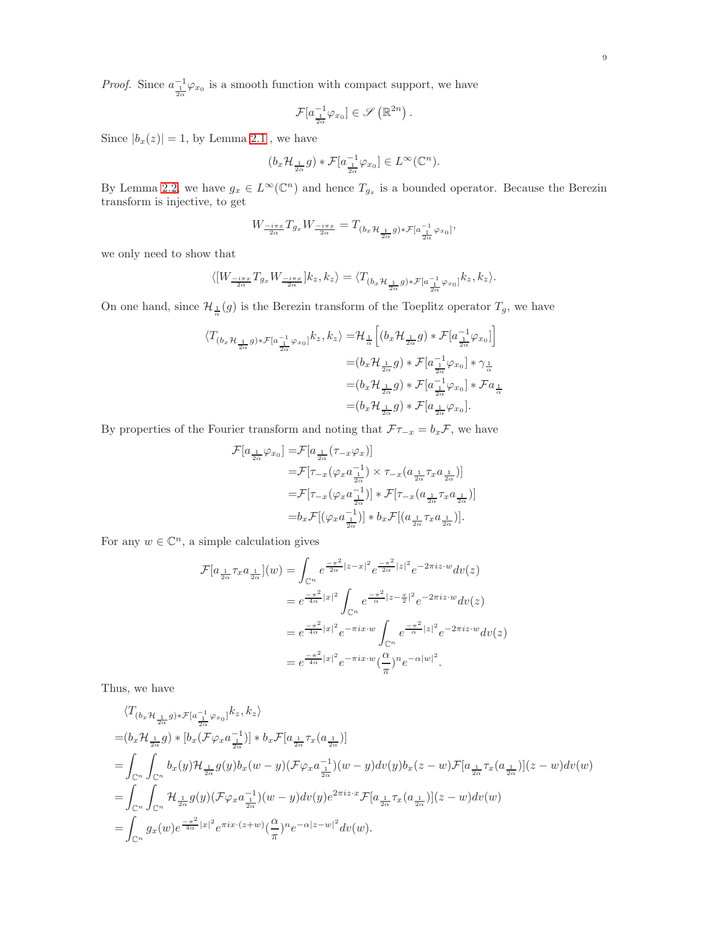*Proof.* Since  $a_{\frac{1}{2\alpha}}^{-1}\varphi_{x_0}$  is a smooth function with compact support, we have

$$
\mathcal{F}[a_{\frac{1}{2\alpha}}^{-1}\varphi_{x_0}]\in\mathscr{S}(\mathbb{R}^{2n}).
$$

Since  $|b_x(z)| = 1$ , by Lemma [2.1](#page-5-0), we have

$$
(b_x \mathcal{H}_{\frac{1}{2\alpha}} g) * \mathcal{F}[a_{\frac{1}{2\alpha}}^{-1} \varphi_{x_0}] \in L^{\infty}(\mathbb{C}^n).
$$

By Lemma [2.2,](#page-6-0) we have  $g_x \in L^{\infty}(\mathbb{C}^n)$  and hence  $T_{g_x}$  is a bounded operator. Because the Berezin transform is injective, to get

$$
W_{\frac{-i\pi x}{2\alpha}}T_{g_x}W_{\frac{-i\pi x}{2\alpha}}=T_{(b_x\mathcal{H}_{\frac{1}{2\alpha}}g)\ast\mathcal{F}[a_{\frac{1}{2\alpha}}^{-1}\varphi_{x_0}]},
$$

we only need to show that

$$
\langle [W_{\frac{-i\pi x}{2\alpha}}T_{g_x}W_{\frac{-i\pi x}{2\alpha}}]k_z,k_z\rangle=\langle T_{(b_x\mathcal{H}_{\frac{1}{2\alpha}}g)*\mathcal{F}[a_{\frac{1}{2\alpha}}^{-1}\varphi_{x_0}]}k_z,k_z\rangle.
$$

On one hand, since  $\mathcal{H}_{\frac{1}{\alpha}}(g)$  is the Berezin transform of the Toeplitz operator  $T_g$ , we have

$$
\begin{aligned} \langle T_{(b_x \mathcal{H}_{\frac{1}{2\alpha}}g) * \mathcal{F}[a^{-1}_{\frac{1}{2\alpha}}\varphi_{x_0}]}k_z, k_z \rangle = & \mathcal{H}_{\frac{1}{\alpha}}\Big[ (b_x \mathcal{H}_{\frac{1}{2\alpha}}g) * \mathcal{F}[a^{-1}_{\frac{1}{2\alpha}}\varphi_{x_0}] \Big] \\ = & (b_x \mathcal{H}_{\frac{1}{2\alpha}}g) * \mathcal{F}[a^{-1}_{\frac{1}{2\alpha}}\varphi_{x_0}] * \gamma_{\frac{1}{\alpha}} \\ = & (b_x \mathcal{H}_{\frac{1}{2\alpha}}g) * \mathcal{F}[a^{-1}_{\frac{1}{2\alpha}}\varphi_{x_0}] * \mathcal{F}a_{\frac{1}{\alpha}} \\ = & (b_x \mathcal{H}_{\frac{1}{2\alpha}}g) * \mathcal{F}[a_{\frac{1}{2\alpha}}\varphi_{x_0}]. \end{aligned}
$$

By properties of the Fourier transform and noting that  $\mathcal{F}\tau_{-x} = b_x \mathcal{F}$ , we have

$$
\mathcal{F}[a_{\frac{1}{2\alpha}}\varphi_{x_0}] = \mathcal{F}[a_{\frac{1}{2\alpha}}(\tau_{-x}\varphi_x)]
$$
  
\n
$$
= \mathcal{F}[\tau_{-x}(\varphi_x a_{\frac{1}{2\alpha}}^{-1}) \times \tau_{-x}(a_{\frac{1}{2\alpha}}\tau_x a_{\frac{1}{2\alpha}})]
$$
  
\n
$$
= \mathcal{F}[\tau_{-x}(\varphi_x a_{\frac{1}{2\alpha}}^{-1})] * \mathcal{F}[\tau_{-x}(a_{\frac{1}{2\alpha}}\tau_x a_{\frac{1}{2\alpha}})]
$$
  
\n
$$
= b_x \mathcal{F}[(\varphi_x a_{\frac{1}{2\alpha}}^{-1})] * b_x \mathcal{F}[(a_{\frac{1}{2\alpha}}\tau_x a_{\frac{1}{2\alpha}})].
$$

For any  $w \in \mathbb{C}^n$ , a simple calculation gives

$$
\mathcal{F}[a_{\frac{1}{2\alpha}}\tau_x a_{\frac{1}{2\alpha}}](w) = \int_{\mathbb{C}^n} e^{-\frac{\pi^2}{2\alpha}|z-x|^2} e^{-\frac{\pi^2}{2\alpha}|z|^2} e^{-2\pi i z \cdot w} dv(z)
$$
  

$$
= e^{\frac{\pi^2}{4\alpha}|x|^2} \int_{\mathbb{C}^n} e^{-\frac{\pi^2}{\alpha}|z-\frac{x}{2}|^2} e^{-2\pi i z \cdot w} dv(z)
$$
  

$$
= e^{\frac{\pi^2}{4\alpha}|x|^2} e^{-\pi i x \cdot w} \int_{\mathbb{C}^n} e^{-\frac{\pi^2}{\alpha}|z|^2} e^{-2\pi i z \cdot w} dv(z)
$$
  

$$
= e^{\frac{\pi^2}{4\alpha}|x|^2} e^{-\pi i x \cdot w} (\frac{\alpha}{\pi})^n e^{-\alpha|w|^2}.
$$

Thus, we have

$$
\langle T_{(b_x \mathcal{H}_{\frac{1}{2\alpha}}g)*\mathcal{F}[a_{\frac{1}{2\alpha}}^{-1}\varphi_{x_0}]}k_z, k_z \rangle
$$
  
\n
$$
= (b_x \mathcal{H}_{\frac{1}{2\alpha}}g)*[b_x(\mathcal{F}\varphi_x a_{\frac{1}{2\alpha}}^{-1})] * b_x \mathcal{F}[a_{\frac{1}{2\alpha}}\tau_x(a_{\frac{1}{2\alpha}})]
$$
  
\n
$$
= \int_{\mathbb{C}^n} \int_{\mathbb{C}^n} b_x(y) \mathcal{H}_{\frac{1}{2\alpha}}g(y)b_x(w-y) (\mathcal{F}\varphi_x a_{\frac{1}{2\alpha}}^{-1}) (w-y) dv(y)b_x(z-w) \mathcal{F}[a_{\frac{1}{2\alpha}}\tau_x(a_{\frac{1}{2\alpha}})] (z-w) dv(w)
$$
  
\n
$$
= \int_{\mathbb{C}^n} \int_{\mathbb{C}^n} \mathcal{H}_{\frac{1}{2\alpha}}g(y) (\mathcal{F}\varphi_x a_{\frac{1}{2\alpha}}^{-1}) (w-y) dv(y)e^{2\pi i z \cdot x} \mathcal{F}[a_{\frac{1}{2\alpha}}\tau_x(a_{\frac{1}{2\alpha}})] (z-w) dv(w)
$$
  
\n
$$
= \int_{\mathbb{C}^n} g_x(w)e^{\frac{-\pi^2}{4\alpha}|x|^2} e^{\pi ix \cdot (z+w)} (\frac{\alpha}{\pi})^n e^{-\alpha|z-w|^2} dv(w).
$$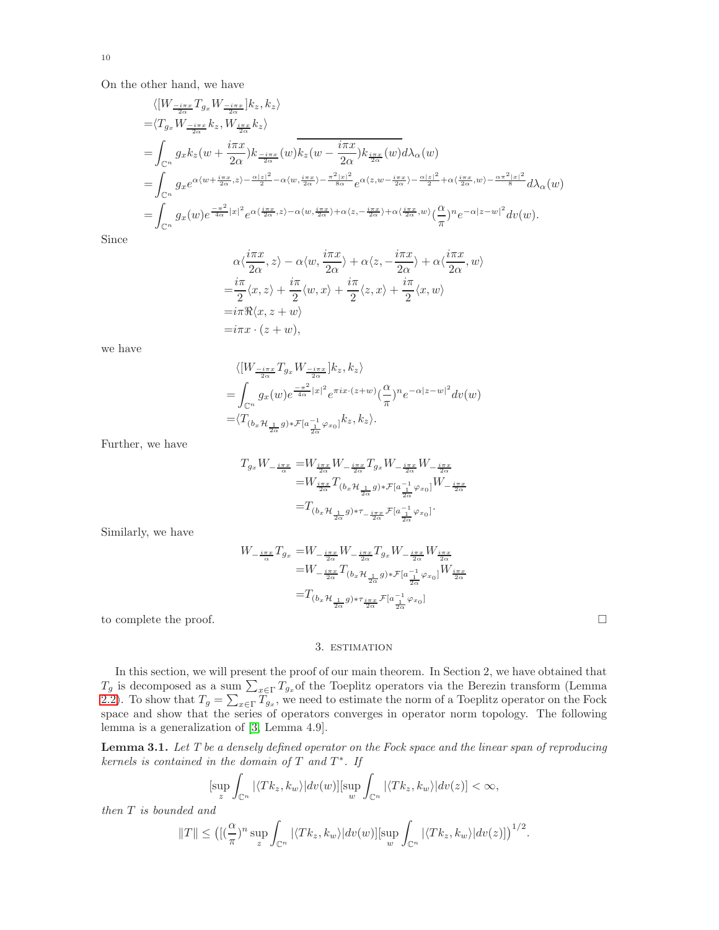On the other hand, we have

$$
\langle [W_{\frac{-i\pi x}{2\alpha}}T_{g_x}W_{\frac{-i\pi x}{2\alpha}}]k_z, k_z \rangle
$$
  
\n=
$$
\langle T_{g_x}W_{\frac{-i\pi x}{2\alpha}}k_z, W_{\frac{i\pi x}{2\alpha}}k_z \rangle
$$
  
\n=
$$
\int_{\mathbb{C}^n} g_x k_z(w + \frac{i\pi x}{2\alpha})k_{\frac{-i\pi x}{2\alpha}}(w)\overline{k_z(w - \frac{i\pi x}{2\alpha})k_{\frac{i\pi x}{2\alpha}}(w)}d\lambda_{\alpha}(w)
$$
  
\n=
$$
\int_{\mathbb{C}^n} g_x e^{\alpha \langle w + \frac{i\pi x}{2\alpha}, z \rangle - \frac{\alpha |z|^2}{2} - \alpha \langle w, \frac{i\pi x}{2\alpha} \rangle - \frac{\pi^2 |x|^2}{8\alpha} e^{\alpha \langle z, w - \frac{i\pi x}{2\alpha} \rangle - \frac{\alpha |z|^2}{2} + \alpha \langle \frac{i\pi x}{2\alpha}, w \rangle - \frac{\alpha \pi^2 |x|^2}{8} d\lambda_{\alpha}(w)
$$
  
\n=
$$
\int_{\mathbb{C}^n} g_x(w) e^{\frac{-\pi^2}{4\alpha}|x|^2} e^{\alpha \langle \frac{i\pi x}{2\alpha}, z \rangle - \alpha \langle w, \frac{i\pi x}{2\alpha} \rangle + \alpha \langle z, -\frac{i\pi x}{2\alpha} \rangle + \alpha \langle \frac{i\pi x}{2\alpha}, w \rangle \left(\frac{\alpha}{\pi}\right)^n e^{-\alpha |z - w|^2} dv(w).
$$

Since

$$
\alpha \langle \frac{i\pi x}{2\alpha}, z \rangle - \alpha \langle w, \frac{i\pi x}{2\alpha} \rangle + \alpha \langle z, -\frac{i\pi x}{2\alpha} \rangle + \alpha \langle \frac{i\pi x}{2\alpha}, w \rangle
$$
  
=  $\frac{i\pi}{2} \langle x, z \rangle + \frac{i\pi}{2} \langle w, x \rangle + \frac{i\pi}{2} \langle z, x \rangle + \frac{i\pi}{2} \langle x, w \rangle$   
=  $i\pi \Re \langle x, z + w \rangle$   
=  $i\pi x \cdot (z + w)$ ,

we have

$$
\begin{split} &\langle[W_{\frac{-i\pi x}{2\alpha}}T_{g_x}W_{\frac{-i\pi x}{2\alpha}}]k_z,k_z\rangle\\ =&\int_{\mathbb{C}^n}g_x(w)e^{\frac{-\pi^2}{4\alpha}|x|^2}e^{\pi ix\cdot(z+w)}(\frac{\alpha}{\pi})^ne^{-\alpha|z-w|^2}dv(w)\\ =&\langle T_{(b_x\mathcal{H}_{\frac{1}{2\alpha}}g)*\mathcal{F}[a_{\frac{1}{2\alpha}}^{-1}\varphi_{x_0}]}k_z,k_z\rangle. \end{split}
$$

Further, we have

$$
T_{g_x} W_{-\frac{i\pi x}{\alpha}} = W_{\frac{i\pi x}{2\alpha}} W_{-\frac{i\pi x}{2\alpha}} T_{g_x} W_{-\frac{i\pi x}{2\alpha}} W_{-\frac{i\pi x}{2\alpha}}
$$
  

$$
= W_{\frac{i\pi x}{2\alpha}} T_{(b_x \mathcal{H}_{\frac{1}{2\alpha}} g) * \mathcal{F}[a_{\frac{1}{2\alpha}}^{-1} \varphi_{x_0}]} W_{-\frac{i\pi x}{2\alpha}}
$$
  

$$
= T_{(b_x \mathcal{H}_{\frac{1}{2\alpha}} g) * \tau_{-\frac{i\pi x}{2\alpha}} \mathcal{F}[a_{\frac{1}{2\alpha}}^{-1} \varphi_{x_0}]}.
$$

Similarly, we have

$$
\begin{split} W_{-\frac{i\pi x}{\alpha}}T_{g_x}=&W_{-\frac{i\pi x}{2\alpha}}W_{-\frac{i\pi x}{2\alpha}}T_{g_x}W_{-\frac{i\pi x}{2\alpha}}W_{\frac{i\pi x}{2\alpha}}\\ =&W_{-\frac{i\pi x}{2\alpha}}T_{(b_x\mathcal{H}_{\frac{1}{2\alpha}}g)*\mathcal{F}[a_{\frac{1}{2\alpha}}^{-1}\varphi_{x_0}]}W_{\frac{i\pi x}{2\alpha}}\\ =&T_{(b_x\mathcal{H}_{\frac{1}{2\alpha}}g)*\tau_{\frac{i\pi x}{2\alpha}}\mathcal{F}[a_{\frac{1}{2\alpha}}^{-1}\varphi_{x_0}]}\end{split}
$$

to complete the proof.

## 3. estimation

In this section, we will present the proof of our main theorem. In Section 2, we have obtained that  $T_g$  is decomposed as a sum  $\sum_{x \in \Gamma} T_{g_x}$  of the Toeplitz operators via the Berezin transform (Lemma [2.2\)](#page-6-0). To show that  $T_g = \sum_{x \in \Gamma} T_{g_x}$ , we need to estimate the norm of a Toeplitz operator on the Fock space and show that the series of operators converges in operator norm topology. The following lemma is a generalization of [\[3,](#page-20-3) Lemma 4.9].

<span id="page-9-0"></span>Lemma 3.1. *Let T be a densely defined operator on the Fock space and the linear span of reproducing kernels is contained in the domain of* T *and* T ∗ *. If*

$$
[\sup_{z}\int_{\mathbb{C}^n}|\langle Tk_z,k_w\rangle|dv(w)][\sup_{w}\int_{\mathbb{C}^n}|\langle Tk_z,k_w\rangle|dv(z)]<\infty,
$$

*then* T *is bounded and*

$$
||T|| \leq \left( [(\frac{\alpha}{\pi})^n \sup_z \int_{\mathbb{C}^n} |\langle Tk_z, k_w \rangle| dv(w)] \right| \sup_w \int_{\mathbb{C}^n} |\langle Tk_z, k_w \rangle| dv(z)] \right)^{1/2}.
$$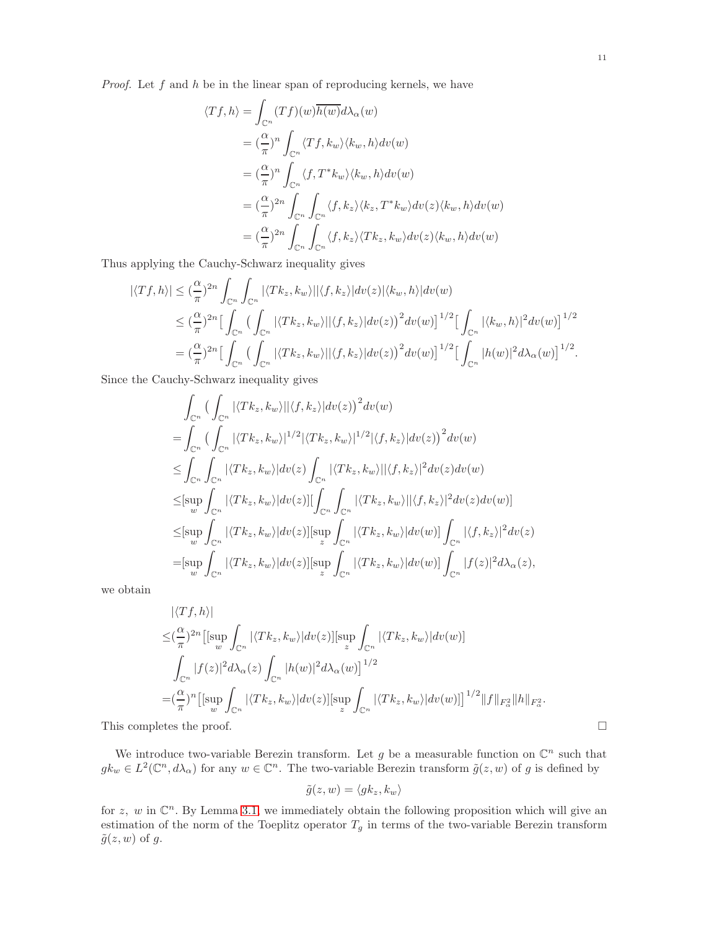*Proof.* Let f and h be in the linear span of reproducing kernels, we have

$$
\langle Tf, h \rangle = \int_{\mathbb{C}^n} (Tf)(w) \overline{h(w)} d\lambda_{\alpha}(w)
$$
  
\n
$$
= (\frac{\alpha}{\pi})^n \int_{\mathbb{C}^n} \langle Tf, k_w \rangle \langle k_w, h \rangle dv(w)
$$
  
\n
$$
= (\frac{\alpha}{\pi})^n \int_{\mathbb{C}^n} \langle f, T^*k_w \rangle \langle k_w, h \rangle dv(w)
$$
  
\n
$$
= (\frac{\alpha}{\pi})^{2n} \int_{\mathbb{C}^n} \int_{\mathbb{C}^n} \langle f, k_z \rangle \langle k_z, T^*k_w \rangle dv(z) \langle k_w, h \rangle dv(w)
$$
  
\n
$$
= (\frac{\alpha}{\pi})^{2n} \int_{\mathbb{C}^n} \int_{\mathbb{C}^n} \langle f, k_z \rangle \langle Tk_z, k_w \rangle dv(z) \langle k_w, h \rangle dv(w)
$$

Thus applying the Cauchy-Schwarz inequality gives

$$
\begin{split}\n|\langle Tf, h \rangle| &\leq (\frac{\alpha}{\pi})^{2n} \int_{\mathbb{C}^n} \int_{\mathbb{C}^n} |\langle Tk_z, k_w \rangle| |\langle f, k_z \rangle| dv(z) |\langle k_w, h \rangle| dv(w) \\
&\leq (\frac{\alpha}{\pi})^{2n} \Big[ \int_{\mathbb{C}^n} \big( \int_{\mathbb{C}^n} |\langle Tk_z, k_w \rangle| |\langle f, k_z \rangle| dv(z) \big)^2 dv(w) \Big]^{1/2} \Big[ \int_{\mathbb{C}^n} |\langle k_w, h \rangle|^2 dv(w) \Big]^{1/2} \\
&= (\frac{\alpha}{\pi})^{2n} \Big[ \int_{\mathbb{C}^n} \big( \int_{\mathbb{C}^n} |\langle Tk_z, k_w \rangle| |\langle f, k_z \rangle| dv(z) \big)^2 dv(w) \Big]^{1/2} \Big[ \int_{\mathbb{C}^n} |h(w)|^2 d\lambda_{\alpha}(w) \Big]^{1/2}.\n\end{split}
$$

Since the Cauchy-Schwarz inequality gives

$$
\int_{\mathbb{C}^n} \left( \int_{\mathbb{C}^n} |\langle Tk_z, k_w \rangle| |\langle f, k_z \rangle| dv(z) \right)^2 dv(w)
$$
\n
$$
= \int_{\mathbb{C}^n} \left( \int_{\mathbb{C}^n} |\langle Tk_z, k_w \rangle|^{1/2} |\langle Tk_z, k_w \rangle|^{1/2} |\langle f, k_z \rangle| dv(z) \right)^2 dv(w)
$$
\n
$$
\leq \int_{\mathbb{C}^n} \int_{\mathbb{C}^n} |\langle Tk_z, k_w \rangle| dv(z) \int_{\mathbb{C}^n} |\langle Tk_z, k_w \rangle| |\langle f, k_z \rangle|^2 dv(z) dv(w)
$$
\n
$$
\leq \left[ \sup_w \int_{\mathbb{C}^n} |\langle Tk_z, k_w \rangle| dv(z) \right] \left[ \int_{\mathbb{C}^n} \int_{\mathbb{C}^n} |\langle Tk_z, k_w \rangle| |\langle f, k_z \rangle|^2 dv(z) dv(w) \right]
$$
\n
$$
\leq \left[ \sup_w \int_{\mathbb{C}^n} |\langle Tk_z, k_w \rangle| dv(z) \right] \left[ \sup_z \int_{\mathbb{C}^n} |\langle Tk_z, k_w \rangle| dv(w) \right] \int_{\mathbb{C}^n} |\langle f, k_z \rangle|^2 dv(z)
$$
\n
$$
= \left[ \sup_w \int_{\mathbb{C}^n} |\langle Tk_z, k_w \rangle| dv(z) \right] \left[ \sup_z \int_{\mathbb{C}^n} |\langle Tk_z, k_w \rangle| dv(w) \right] \int_{\mathbb{C}^n} |f(z)|^2 d\lambda_{\alpha}(z),
$$

we obtain

$$
|\langle Tf, h \rangle|
$$
  
\n
$$
\leq (\frac{\alpha}{\pi})^{2n} \Big[ \sup_w \int_{\mathbb{C}^n} |\langle Tk_z, k_w \rangle| dv(z) \Big] [\sup_z \int_{\mathbb{C}^n} |\langle Tk_z, k_w \rangle| dv(w) \Big]
$$
  
\n
$$
\int_{\mathbb{C}^n} |f(z)|^2 d\lambda_{\alpha}(z) \int_{\mathbb{C}^n} |h(w)|^2 d\lambda_{\alpha}(w) \Big]^{1/2}
$$
  
\n
$$
= (\frac{\alpha}{\pi})^n \Big[ \sup_w \int_{\mathbb{C}^n} |\langle Tk_z, k_w \rangle| dv(z) \Big] [\sup_z \int_{\mathbb{C}^n} |\langle Tk_z, k_w \rangle| dv(w) \Big]^{1/2} ||f||_{F^2_{\alpha}} ||h||_{F^2_{\alpha}}.
$$
  
\nThis completes the proof.

We introduce two-variable Berezin transform. Let g be a measurable function on  $\mathbb{C}^n$  such that  $g k_w \in L^2(\mathbb{C}^n, d\lambda_\alpha)$  for any  $w \in \mathbb{C}^n$ . The two-variable Berezin transform  $\tilde{g}(z, w)$  of g is defined by

$$
\tilde{g}(z,w) = \langle g k_z, k_w \rangle
$$

for z, w in  $\mathbb{C}^n$ . By Lemma [3.1,](#page-9-0) we immediately obtain the following proposition which will give an estimation of the norm of the Toeplitz operator  $T_g$  in terms of the two-variable Berezin transform  $\tilde{g}(z, w)$  of g.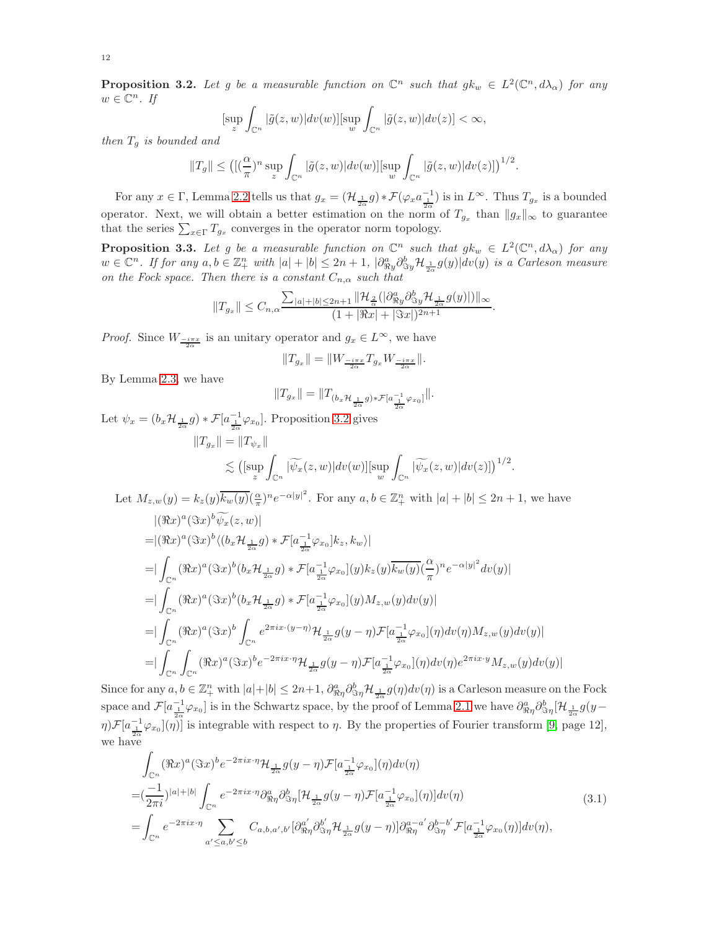<span id="page-11-0"></span>**Proposition 3.2.** Let g be a measurable function on  $\mathbb{C}^n$  such that  $g k_w \in L^2(\mathbb{C}^n, d\lambda_\alpha)$  for any  $w \in \mathbb{C}^n$ . If

$$
[\sup_{z}\int_{\mathbb{C}^n}|\tilde{g}(z,w)|dv(w)][\sup_{w}\int_{\mathbb{C}^n}|\tilde{g}(z,w)|dv(z)] < \infty,
$$

*then* T<sup>g</sup> *is bounded and*

$$
||T_g|| \leq \left( [(\frac{\alpha}{\pi})^n \sup_z \int_{\mathbb{C}^n} |\tilde{g}(z,w)| dv(w)] \left[\sup_w \int_{\mathbb{C}^n} |\tilde{g}(z,w)| dv(z)] \right]^{1/2}.
$$

For any  $x \in \Gamma$ , Lemma [2.2](#page-6-0) tells us that  $g_x = (\mathcal{H}_{\frac{1}{2\alpha}} g) * \mathcal{F}(\varphi_x a_{\frac{1}{2\alpha}}^{-1})$  is in  $L^{\infty}$ . Thus  $T_{g_x}$  is a bounded operator. Next, we will obtain a better estimation on the norm of  $T_{g_x}$  than  $||g_x||_{\infty}$  to guarantee that the series  $\sum_{x \in \Gamma} T_{g_x}$  converges in the operator norm topology.

<span id="page-11-1"></span>**Proposition 3.3.** Let g be a measurable function on  $\mathbb{C}^n$  such that  $g k_w \in L^2(\mathbb{C}^n, d\lambda_\alpha)$  for any  $w \in \mathbb{C}^n$ . If for any  $a, b \in \mathbb{Z}_+^n$  with  $|a| + |b| \leq 2n + 1$ ,  $|\partial_{\Re y}^a \partial_{\Im y}^b \mathcal{H}_{\frac{1}{2\alpha}} g(y)| dv(y)$  is a Carleson measure *on the Fock space. Then there is a constant*  $C_{n,\alpha}$  *such that* 

$$
||T_{g_x}|| \leq C_{n,\alpha} \frac{\sum_{|a|+|b| \leq 2n+1} ||\mathcal{H}_{\frac{2}{\alpha}}(|\partial_{\Re y}^a \partial_{\Im y}^b \mathcal{H}_{\frac{1}{2\alpha}} g(y)|) ||_{\infty}}{(1+ ||\Re x| + ||\Im x||)^{2n+1}}.
$$

*Proof.* Since  $W_{\frac{-i\pi x}{2\alpha}}$  is an unitary operator and  $g_x \in L^{\infty}$ , we have

$$
\|T_{g_x}\|=\|W_{\frac{-i\pi x}{2\alpha}}T_{g_x}W_{\frac{-i\pi x}{2\alpha}}\|.
$$

By Lemma [2.3,](#page-7-0) we have

$$
||T_{g_x}|| = ||T_{(b_x \mathcal{H}_{\frac{1}{2\alpha}} g) * \mathcal{F}[a_{\frac{1}{2\alpha}}^{-1} \varphi_{x_0}]}||.
$$

Let  $\psi_x = (b_x \mathcal{H}_{\frac{1}{2\alpha}} g) * \mathcal{F}[a_{\frac{1}{2\alpha}}^{-1} \varphi_{x_0}]$ . Proposition [3.2](#page-11-0) gives  $||T_{g_x}|| = ||T_{\psi_x}||$ Z

$$
\lesssim \left( \left[ \sup_z \int_{\mathbb{C}^n} |\widetilde{\psi_x}(z,w)| dv(w) \right] \left[ \sup_w \int_{\mathbb{C}^n} |\widetilde{\psi_x}(z,w)| dv(z) \right] \right)^{1/2}.
$$

Let  $M_{z,w}(y) = k_z(y)\overline{k_w(y)}(\frac{\alpha}{\pi})^n e^{-\alpha |y|^2}$ . For any  $a, b \in \mathbb{Z}_{+}^n$  with  $|a| + |b| \leq 2n + 1$ , we have

$$
\begin{split}\n&=|(\Re x)^a(\Im x)^b\overline{\psi_x}(z,w)| \\
&=|( \Re x)^a(\Im x)^b\langle (b_x\mathcal{H}_{\frac{1}{2\alpha}}g)*\mathcal{F}[a_{\frac{1}{2\alpha}}^{-1}\varphi_{x_0}]k_z,k_w\rangle| \\
&=|\int_{\mathbb{C}^n}(\Re x)^a(\Im x)^b(b_x\mathcal{H}_{\frac{1}{2\alpha}}g)*\mathcal{F}[a_{\frac{1}{2\alpha}}^{-1}\varphi_{x_0}](y)k_z(y)\overline{k_w(y)}(\frac{\alpha}{\pi})^ne^{-\alpha|y|^2}dv(y)| \\
&=|\int_{\mathbb{C}^n}(\Re x)^a(\Im x)^b(b_x\mathcal{H}_{\frac{1}{2\alpha}}g)*\mathcal{F}[a_{\frac{1}{2\alpha}}^{-1}\varphi_{x_0}](y)M_{z,w}(y)dv(y)| \\
&=|\int_{\mathbb{C}^n}(\Re x)^a(\Im x)^b\int_{\mathbb{C}^n}e^{2\pi ix\cdot(y-\eta)}\mathcal{H}_{\frac{1}{2\alpha}}g(y-\eta)\mathcal{F}[a_{\frac{1}{2\alpha}}^{-1}\varphi_{x_0}](\eta)dv(\eta)M_{z,w}(y)dv(y)| \\
&=|\int_{\mathbb{C}^n}\int_{\mathbb{C}^n}(\Re x)^a(\Im x)^be^{-2\pi ix\cdot\eta}\mathcal{H}_{\frac{1}{2\alpha}}g(y-\eta)\mathcal{F}[a_{\frac{1}{2\alpha}}^{-1}\varphi_{x_0}](\eta)dv(\eta)e^{2\pi ix\cdot y}M_{z,w}(y)dv(y)|\n\end{split}
$$

Since for any  $a, b \in \mathbb{Z}_{+}^{n}$  with  $|a|+|b| \leq 2n+1$ ,  $\partial_{\Re \eta}^{a} \partial_{\Im \eta}^{b} \mathcal{H}_{\frac{1}{2\alpha}} g(\eta) dv(\eta)$  is a Carleson measure on the Fock space and  $\mathcal{F}[a_{\frac{1}{2\alpha}}^{-1}\varphi_{x_0}]$  is in the Schwartz space, by the proof of Lemma [2.1](#page-5-0) we have  $\partial_{\Re\eta}^a \partial_{\Im\eta}^b [\mathcal{H}_{\frac{1}{2\alpha}} g(y-\pi)]$  $\eta$ ) $\mathcal{F}[a_{1}^{-1}\varphi_{x_{0}}](\eta)$  is integrable with respect to  $\eta$ . By the properties of Fourier transform [\[9,](#page-20-4) page 12], we have

<span id="page-11-2"></span>
$$
\int_{\mathbb{C}^n} (\Re x)^a (\Im x)^b e^{-2\pi ix \cdot \eta} \mathcal{H}_{\frac{1}{2\alpha}} g(y - \eta) \mathcal{F}[a_{\frac{1}{2\alpha}}^{-1} \varphi_{x_0}](\eta) dv(\eta)
$$
\n
$$
= (\frac{-1}{2\pi i})^{|a|+|b|} \int_{\mathbb{C}^n} e^{-2\pi ix \cdot \eta} \partial_{\Re \eta}^a \partial_{\Im \eta}^b [\mathcal{H}_{\frac{1}{2\alpha}} g(y - \eta) \mathcal{F}[a_{\frac{1}{2\alpha}}^{-1} \varphi_{x_0}](\eta)] dv(\eta)
$$
\n
$$
= \int_{\mathbb{C}^n} e^{-2\pi ix \cdot \eta} \sum_{a' \leq a, b' \leq b} C_{a, b, a', b'} [\partial_{\Re \eta}^{a'} \partial_{\Im \eta}^{b'} \mathcal{H}_{\frac{1}{2\alpha}} g(y - \eta)] \partial_{\Re \eta}^{a - a'} \partial_{\Im \eta}^{b - b'} \mathcal{F}[a_{\frac{1}{2\alpha}}^{-1} \varphi_{x_0}(\eta)] dv(\eta),
$$
\n(3.1)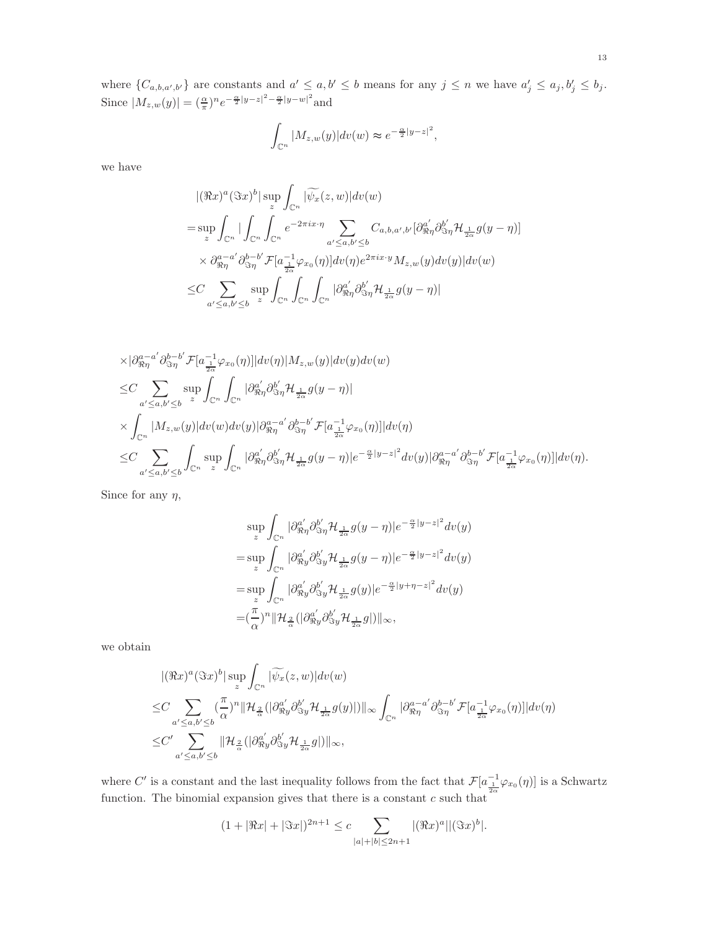where  $\{C_{a,b,a',b'}\}$  are constants and  $a' \leq a,b' \leq b$  means for any  $j \leq n$  we have  $a'_j \leq a_j, b'_j \leq b_j$ . Since  $|M_{z,w}(y)| = (\frac{\alpha}{\pi})^n e^{-\frac{\alpha}{2}|y-z|^2 - \frac{\alpha}{2}|y-w|^2}$  and

$$
\int_{\mathbb{C}^n} |M_{z,w}(y)| dv(w) \approx e^{-\frac{\alpha}{2}|y-z|^2},
$$

we have

$$
\begin{split}\n&|\langle \Re x \rangle^{a} (\Im x)^{b} | \sup_{z} \int_{\mathbb{C}^{n}} |\widetilde{\psi}_{x}(z, w)| dv(w) \\
&= \sup_{z} \int_{\mathbb{C}^{n}} |\int_{\mathbb{C}^{n}} \int_{\mathbb{C}^{n}} e^{-2\pi i x \cdot \eta} \sum_{a' \leq a, b' \leq b} C_{a, b, a', b'} [\partial_{\Re \eta}^{a'} \partial_{\Im \eta}^{b'} \mathcal{H}_{\frac{1}{2\alpha}} g(y - \eta)] \\
&\times \partial_{\Re \eta}^{a-a'} \partial_{\Im \eta}^{b-b'} \mathcal{F}[a_{\frac{1}{2\alpha}}^{-1} \varphi_{x_{0}}(\eta)] dv(\eta) e^{2\pi i x \cdot y} M_{z, w}(y) dv(y) | dv(w) \\
&\leq C \sum_{a' \leq a, b' \leq b} \sup_{z} \int_{\mathbb{C}^{n}} \int_{\mathbb{C}^{n}} |\partial_{\Re \eta}^{a'} \partial_{\Im \eta}^{b'} \mathcal{H}_{\frac{1}{2\alpha}} g(y - \eta)|\n\end{split}
$$

$$
\times |\partial_{\Re \eta}^{a-a'} \partial_{\Im \eta}^{b-b'} \mathcal{F}[a_{\frac{1}{2\alpha}}^{-1} \varphi_{x_0}(\eta)]|dv(\eta)|M_{z,w}(y)|dv(y)dv(w) \n\leq C \sum_{a' \leq a,b' \leq b} \sup_{z} \int_{\mathbb{C}^n} \int_{\mathbb{C}^n} |\partial_{\Re \eta}^{a'} \partial_{\Im \eta}^{b'} \mathcal{H}_{\frac{1}{2\alpha}} g(y-\eta)| \n\times \int_{\mathbb{C}^n} |M_{z,w}(y)|dv(w)dv(y)|\partial_{\Re \eta}^{a-a'} \partial_{\Im \eta}^{b-b'} \mathcal{F}[a_{\frac{1}{2\alpha}}^{-1} \varphi_{x_0}(\eta)]|dv(\eta) \n\leq C \sum_{a' \leq a,b' \leq b} \int_{\mathbb{C}^n} \sup_{z} \int_{\mathbb{C}^n} |\partial_{\Re \eta}^{a'} \partial_{\Im \eta}^{b'} \mathcal{H}_{\frac{1}{2\alpha}} g(y-\eta)|e^{-\frac{\alpha}{2}|y-z|^2}dv(y)|\partial_{\Re \eta}^{a-a'} \partial_{\Im \eta}^{b-b'} \mathcal{F}[a_{\frac{1}{2\alpha}}^{-1} \varphi_{x_0}(\eta)]|dv(\eta).
$$

Since for any  $\eta$ ,

$$
\sup_{z} \int_{\mathbb{C}^n} |\partial_{\Re \eta}^{a'} \partial_{\Im \eta}^{b'} \mathcal{H}_{\frac{1}{2\alpha}} g(y - \eta)| e^{-\frac{\alpha}{2}|y - z|^2} dv(y)
$$
  
\n
$$
= \sup_{z} \int_{\mathbb{C}^n} |\partial_{\Re y}^{a'} \partial_{\Im y}^{b'} \mathcal{H}_{\frac{1}{2\alpha}} g(y - \eta)| e^{-\frac{\alpha}{2}|y - z|^2} dv(y)
$$
  
\n
$$
= \sup_{z} \int_{\mathbb{C}^n} |\partial_{\Re y}^{a'} \partial_{\Im y}^{b'} \mathcal{H}_{\frac{1}{2\alpha}} g(y)| e^{-\frac{\alpha}{2}|y + \eta - z|^2} dv(y)
$$
  
\n
$$
= (\frac{\pi}{\alpha})^n \| \mathcal{H}_{\frac{2}{\alpha}} (|\partial_{\Re y}^{a'} \partial_{\Im y}^{b'} \mathcal{H}_{\frac{1}{2\alpha}} g|) \|_{\infty},
$$

we obtain

$$
\begin{split} &\quad |(\Re x)^a(\Im x)^b|\sup_z\int_{\mathbb{C}^n}|\widetilde{\psi_x}(z,w)|dv(w)\\ \leq & C\sum_{a'\leq a,b'\leq b}(\frac{\pi}{\alpha})^n\|\mathcal{H}_{\frac{2}{\alpha}}(|\partial_{\Re y}^{a'}\partial_{\Im y}^{b'}\mathcal{H}_{\frac{1}{2\alpha}}g(y)|)\|_\infty\int_{\mathbb{C}^n}|\partial_{\Re\eta}^{a-a'}\partial_{\Im\eta}^{b-b'}\mathcal{F}[a^{-1}_{\frac{1}{2\alpha}}\varphi_{x_0}(\eta)]|dv(\eta)\\ \leq & C'\sum_{a'\leq a,b'\leq b}\|\mathcal{H}_{\frac{2}{\alpha}}(|\partial_{\Re y}^{a'}\partial_{\Im y}^{b'}\mathcal{H}_{\frac{1}{2\alpha}}g|)\|_\infty, \end{split}
$$

where C' is a constant and the last inequality follows from the fact that  $\mathcal{F}[a_{\frac{1}{2\alpha}}^{-1}\varphi_{x_0}(\eta)]$  is a Schwartz function. The binomial expansion gives that there is a constant  $c$  such that

$$
(1+|\Re x|+|\Im x|)^{2n+1} \le c \sum_{|a|+|b| \le 2n+1} |(\Re x)^a||(\Im x)^b|.
$$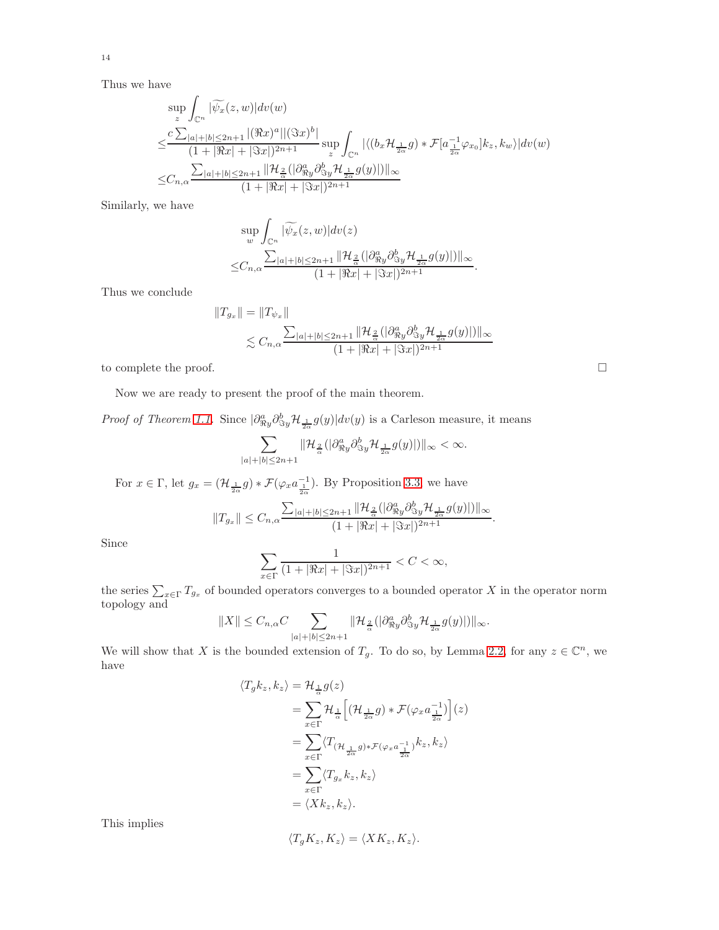Thus we have

$$
\sup_{z} \int_{\mathbb{C}^n} |\widetilde{\psi_x}(z,w)| dv(w)
$$
\n
$$
\leq \frac{c \sum_{|a|+|b| \leq 2n+1} |(\Re x)^a| |(\Im x)^b|}{(1+|\Re x|+|\Im x|)^{2n+1}} \sup_{z} \int_{\mathbb{C}^n} |\langle (b_x \mathcal{H}_{\frac{1}{2\alpha}} g) * \mathcal{F}[a_{\frac{1}{2\alpha}}^{-1} \varphi_{x_0}] k_z, k_w \rangle| dv(w)
$$
\n
$$
\leq C_{n,\alpha} \frac{\sum_{|a|+|b| \leq 2n+1} ||\mathcal{H}_{\frac{2}{\alpha}}(|\partial_{\Re y}^a \partial_{\Im y}^b \mathcal{H}_{\frac{1}{2\alpha}} g(y)|) ||_{\infty}}{(1+|\Re x|+|\Im x|)^{2n+1}}
$$

Similarly, we have

$$
\sup_{w} \int_{\mathbb{C}^n} |\widetilde{\psi_x}(z,w)| dv(z) \n\leq C_{n,\alpha} \frac{\sum_{|a|+|b| \leq 2n+1} ||\mathcal{H}_{\frac{2}{\alpha}}(|\partial_{\Re y}^a \partial_{\Im y}^b \mathcal{H}_{\frac{1}{2\alpha}} g(y)|) ||_{\infty}}{(1+ |\Re x| + |\Im x|)^{2n+1}}.
$$

Thus we conclude

$$
||T_{g_x}|| = ||T_{\psi_x}||
$$
  
\$\leq C\_{n,\alpha} \frac{\sum\_{|a|+|b| \leq 2n+1} ||\mathcal{H}\_{\frac{2}{\alpha}}(|\partial\_{\Re y}^a \partial\_{\Im y}^b \mathcal{H}\_{\frac{1}{2\alpha}} g(y)|) ||\_{\infty}\$  
(1+  $|\Re x|$  +  $|\Im x|$ )<sup>2n+1</sup>

to complete the proof.  $\hfill \square$ 

Now we are ready to present the proof of the main theorem.

*Proof of Theorem [1.1.](#page-3-0)* Since  $|\partial_{\Re y}^a \partial_{\Im y}^b \mathcal{H}_{\frac{1}{2\alpha}} g(y)| dv(y)$  is a Carleson measure, it means

$$
\sum_{|a|+|b|\leq 2n+1}\|\mathcal{H}_{\frac{2}{\alpha}}(|\partial_{\Re y}^a\partial_{\Im y}^b\mathcal{H}_{\frac{1}{2\alpha}}g(y)|)\|_\infty<\infty.
$$

For  $x \in \Gamma$ , let  $g_x = (\mathcal{H}_{\frac{1}{2\alpha}} g) * \mathcal{F}(\varphi_x a_{\frac{1}{2\alpha}}^{-1})$ . By Proposition [3.3,](#page-11-1) we have

$$
||T_{g_x}|| \leq C_{n,\alpha} \frac{\sum_{|a|+|b| \leq 2n+1} ||\mathcal{H}_{\frac{2}{\alpha}}(|\partial_{\Re y}^a \partial_{\Im y}^b \mathcal{H}_{\frac{1}{2\alpha}} g(y)|) ||_{\infty}}{(1+|\Re x| + |\Im x|)^{2n+1}}.
$$

Since

$$
\sum_{x \in \Gamma} \frac{1}{(1 + |\Re x| + |\Im x|)^{2n+1}} < C < \infty,
$$

the series  $\sum_{x\in\Gamma}T_{g_x}$  of bounded operators converges to a bounded operator X in the operator norm topology and

$$
\|X\|\leq C_{n,\alpha}C\sum_{|a|+|b|\leq 2n+1}\|\mathcal{H}_{\frac{2}{\alpha}}(|\partial_{\Re y}^ap\partial_{\Im y}^b\mathcal{H}_{\frac{1}{2\alpha}}g(y)|)\|_\infty.
$$

We will show that X is the bounded extension of  $T_g$ . To do so, by Lemma [2.2,](#page-6-0) for any  $z \in \mathbb{C}^n$ , we have

$$
\langle T_g k_z, k_z \rangle = \mathcal{H}_{\frac{1}{\alpha}} g(z)
$$
  
= 
$$
\sum_{x \in \Gamma} \mathcal{H}_{\frac{1}{\alpha}} \Big[ (\mathcal{H}_{\frac{1}{2\alpha}} g) * \mathcal{F}(\varphi_x a_{\frac{1}{2\alpha}}^{-1}) \Big] (z)
$$
  
= 
$$
\sum_{x \in \Gamma} \langle T_{(\mathcal{H}_{\frac{1}{2\alpha}} g) * \mathcal{F}(\varphi_x a_{\frac{1}{2\alpha}}^{-1})} k_z, k_z \rangle
$$
  
= 
$$
\sum_{x \in \Gamma} \langle T_{g_x} k_z, k_z \rangle
$$
  
= 
$$
\langle X k_z, k_z \rangle.
$$

This implies

$$
\langle T_g K_z, K_z \rangle = \langle X K_z, K_z \rangle.
$$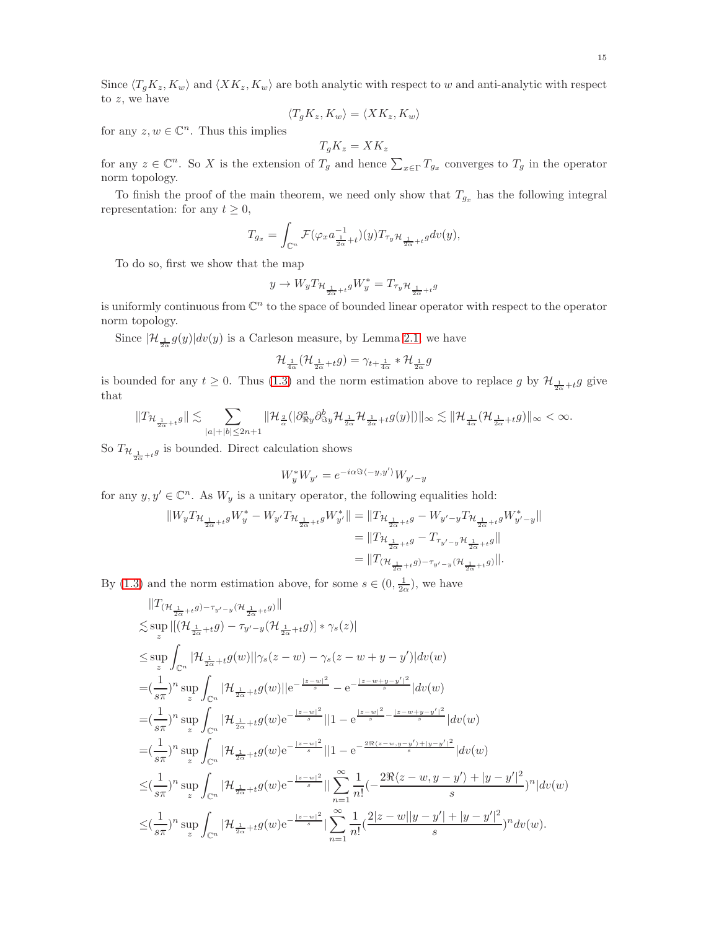Since  $\langle T_gK_z, K_w \rangle$  and  $\langle KK_z, K_w \rangle$  are both analytic with respect to w and anti-analytic with respect to z, we have

$$
\langle T_g K_z, K_w \rangle = \langle X K_z, K_w \rangle
$$

for any  $z, w \in \mathbb{C}^n$ . Thus this implies

$$
T_gK_z = XK_z
$$

for any  $z \in \mathbb{C}^n$ . So X is the extension of  $T_g$  and hence  $\sum_{x \in \Gamma} T_{g_x}$  converges to  $T_g$  in the operator norm topology.

To finish the proof of the main theorem, we need only show that  $T_{g_x}$  has the following integral representation: for any  $t \geq 0$ ,

$$
T_{g_x} = \int_{\mathbb{C}^n} \mathcal{F}(\varphi_x a_{\frac{1}{2\alpha} + t}^{-1})(y) T_{\tau_y} \mathcal{H}_{\frac{1}{2\alpha} + t} g dv(y),
$$

To do so, first we show that the map

$$
y\rightarrow W_yT_{\mathcal{H}_{\frac{1}{2\alpha}+t}g}W_y^*=T_{\tau_y\mathcal{H}_{\frac{1}{2\alpha}+t}g}
$$

is uniformly continuous from  $\mathbb{C}^n$  to the space of bounded linear operator with respect to the operator norm topology.

Since  $|\mathcal{H}_{\frac{1}{2\alpha}}g(y)|dv(y)$  is a Carleson measure, by Lemma [2.1,](#page-5-0) we have

$$
\mathcal{H}_{\frac{1}{4\alpha}}(\mathcal{H}_{\frac{1}{2\alpha}+t}g)=\gamma_{t+\frac{1}{4\alpha}}*\mathcal{H}_{\frac{1}{2\alpha}}g
$$

is bounded for any  $t \geq 0$ . Thus [\(1.3\)](#page-3-1) and the norm estimation above to replace g by  $\mathcal{H}_{\frac{1}{2\alpha}+t}g$  give that

$$
\|T_{\mathcal{H}_{\frac{1}{2\alpha}+t}g}\|\lesssim \sum_{|a|+|b|\leq 2n+1}\|\mathcal{H}_{\frac{2}{\alpha}}(|\partial_{\Re y}^a\partial_{\Im y}^b\mathcal{H}_{\frac{1}{2\alpha}}\mathcal{H}_{\frac{1}{2\alpha}+t}g(y)|)\|_{\infty}\lesssim \|\mathcal{H}_{\frac{1}{4\alpha}}(\mathcal{H}_{\frac{1}{2\alpha}+t}g)\|_{\infty}<\infty.
$$

So  $T_{\mathcal{H}_{\frac{1}{2\alpha}+t}g}$  is bounded. Direct calculation shows

$$
W_y^* W_{y'} = e^{-i\alpha \Im \langle -y, y' \rangle} W_{y'-y}
$$

for any  $y, y' \in \mathbb{C}^n$ . As  $W_y$  is a unitary operator, the following equalities hold:

$$
\begin{aligned} \|W_yT_{\mathcal{H}_{\frac{1}{2\alpha}+t}g}W_y^*-W_{y'}T_{\mathcal{H}_{\frac{1}{2\alpha}+t}g}W_{y'}^*\| &= \|T_{\mathcal{H}_{\frac{1}{2\alpha}+t}g}-W_{y'-y}T_{\mathcal{H}_{\frac{1}{2\alpha}+t}g}W_{y'-y}^*\| \\ &= \|T_{\mathcal{H}_{\frac{1}{2\alpha}+t}g}-T_{\tau_{y'-y}}\mathcal{H}_{\frac{1}{2\alpha}+t}g\| \\ &= \|T_{(\mathcal{H}_{\frac{1}{2\alpha}+t}g)-\tau_{y'-y}}(\mathcal{H}_{\frac{1}{2\alpha}+t}g)\|. \end{aligned}
$$

By [\(1.3\)](#page-3-1) and the norm estimation above, for some  $s \in (0, \frac{1}{2\alpha})$ , we have

$$
\|T_{(\mathcal{H}_{\frac{1}{2\alpha}+t}g)-\tau_{y'-y}(\mathcal{H}_{\frac{1}{2\alpha}+t}g)\|
$$
  
\n
$$
\leq \sup_{z} |[(\mathcal{H}_{\frac{1}{2\alpha}+t}g)-\tau_{y'-y}(\mathcal{H}_{\frac{1}{2\alpha}+t}g)]*\gamma_{s}(z)|
$$
  
\n
$$
\leq \sup_{z} \int_{\mathbb{C}^{n}} |\mathcal{H}_{\frac{1}{2\alpha}+t}g(w)||\gamma_{s}(z-w)-\gamma_{s}(z-w+y-y')|dv(w)
$$
  
\n
$$
=(\frac{1}{s\pi})^{n} \sup_{z} \int_{\mathbb{C}^{n}} |\mathcal{H}_{\frac{1}{2\alpha}+t}g(w)||e^{-\frac{|z-w|^{2}}{s}}-e^{-\frac{|z-w+y-y'|^{2}}{s}}|dv(w)
$$
  
\n
$$
=(\frac{1}{s\pi})^{n} \sup_{z} \int_{\mathbb{C}^{n}} |\mathcal{H}_{\frac{1}{2\alpha}+t}g(w)e^{-\frac{|z-w|^{2}}{s}}||1-e^{\frac{|z-w|^{2}}{s}-\frac{|z-w+y-y'|^{2}}{s}}|dv(w)
$$
  
\n
$$
=(\frac{1}{s\pi})^{n} \sup_{z} \int_{\mathbb{C}^{n}} |\mathcal{H}_{\frac{1}{2\alpha}+t}g(w)e^{-\frac{|z-w|^{2}}{s}}||1-e^{-\frac{2\Re(z-w,y-y')+|y-y'|^{2}}{s}}|dv(w)
$$
  
\n
$$
\leq (\frac{1}{s\pi})^{n} \sup_{z} \int_{\mathbb{C}^{n}} |\mathcal{H}_{\frac{1}{2\alpha}+t}g(w)e^{-\frac{|z-w|^{2}}{s}}||\sum_{n=1}^{\infty} \frac{1}{n!}(-\frac{2\Re(z-w,y-y')+|y-y'|^{2}}{s})^{n}|dv(w)
$$
  
\n
$$
\leq (\frac{1}{s\pi})^{n} \sup_{z} \int_{\mathbb{C}^{n}} |\mathcal{H}_{\frac{1}{2\alpha}+t}g(w)e^{-\frac{|z-w|^{2}}{s}}||\sum_{n=1}^{\infty} \frac{1}{n!}(\frac{2|z-w||y-y'|+|y-y'|^{2}}{s})^{n}dv(w
$$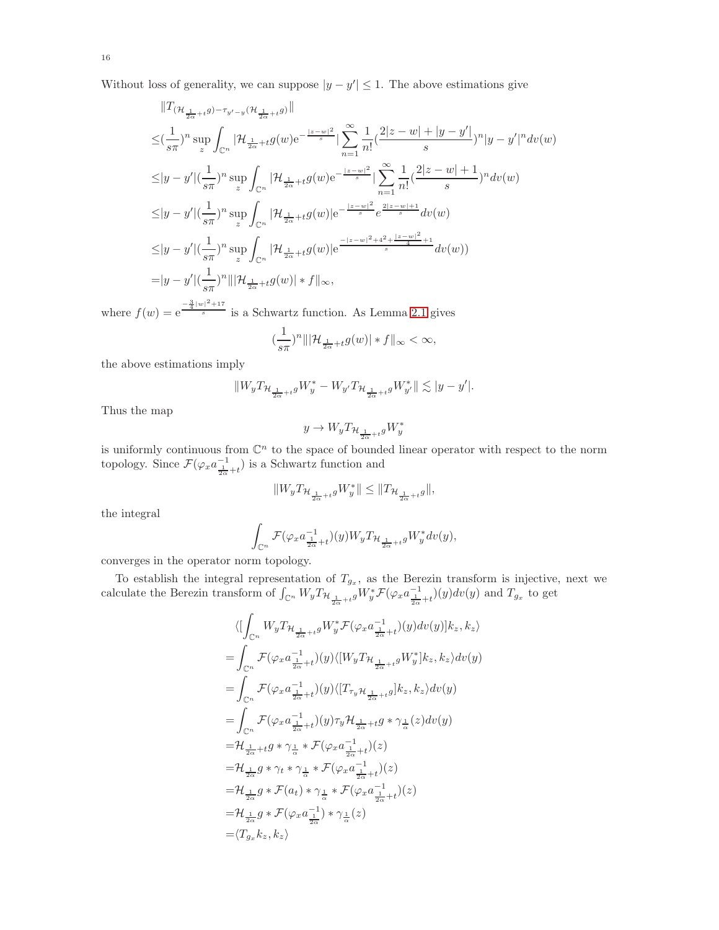Without loss of generality, we can suppose  $|y - y'| \leq 1$ . The above estimations give

$$
||T_{(\mathcal{H}_{\frac{1}{2\alpha}+t}g)-\tau_{y'-y}(\mathcal{H}_{\frac{1}{2\alpha}+t}g)||}||
$$
  
\n
$$
\leq (\frac{1}{s\pi})^n \sup_{z} \int_{\mathbb{C}^n} |\mathcal{H}_{\frac{1}{2\alpha}+t}g(w)e^{-\frac{|z-w|^2}{s}}| \sum_{n=1}^{\infty} \frac{1}{n!} (\frac{2|z-w|+|y-y'|}{s})^n |y-y'|^n dv(w)
$$
  
\n
$$
\leq |y-y'| (\frac{1}{s\pi})^n \sup_{z} \int_{\mathbb{C}^n} |\mathcal{H}_{\frac{1}{2\alpha}+t}g(w)e^{-\frac{|z-w|^2}{s}}| \sum_{n=1}^{\infty} \frac{1}{n!} (\frac{2|z-w|+1}{s})^n dv(w)
$$
  
\n
$$
\leq |y-y'| (\frac{1}{s\pi})^n \sup_{z} \int_{\mathbb{C}^n} |\mathcal{H}_{\frac{1}{2\alpha}+t}g(w)|e^{-\frac{|z-w|^2}{s}} e^{\frac{2|z-w|+1}{s}} dv(w)
$$
  
\n
$$
\leq |y-y'| (\frac{1}{s\pi})^n \sup_{z} \int_{\mathbb{C}^n} |\mathcal{H}_{\frac{1}{2\alpha}+t}g(w)|e^{-\frac{|z-w|^2+4^2+|z-w|^2}{s}} dv(w)
$$
  
\n
$$
= |y-y'| (\frac{1}{s\pi})^n ||\mathcal{H}_{\frac{1}{2\alpha}+t}g(w)| * f||_{\infty},
$$

where  $f(w) = e^{\frac{-\frac{3}{4}|w|^2 + 17}{s}}$  is a Schwartz function. As Lemma [2.1](#page-5-0) gives

$$
\left(\frac{1}{s\pi}\right)^n \|\left|\mathcal{H}_{\frac{1}{2\alpha}+t}g(w)\right|*f\|_{\infty}<\infty,
$$

the above estimations imply

$$
\|W_yT_{\mathcal{H}_{\frac{1}{2\alpha}+t}g}W_y^*-W_{y'}T_{\mathcal{H}_{\frac{1}{2\alpha}+t}g}W_{y'}^*\|\lesssim |y-y'|.
$$

Thus the map

$$
y\rightarrow W_yT_{\mathcal{H}_{\frac{1}{2\alpha}+t}g}W_y^*
$$

is uniformly continuous from  $\mathbb{C}^n$  to the space of bounded linear operator with respect to the norm topology. Since  $\mathcal{F}(\varphi_x a_{\frac{1}{2\alpha}+t}^{-1})$  is a Schwartz function and

$$
\|W_yT_{\mathcal{H}_{\frac{1}{2\alpha}+t}g}W_y^*\|\leq \|T_{\mathcal{H}_{\frac{1}{2\alpha}+t}g}\|,
$$

the integral

$$
\int_{\mathbb{C}^n} \mathcal{F}(\varphi_x a^{-1}_{\frac{1}{2\alpha}+t})(y) W_y T_{\mathcal{H}_{\frac{1}{2\alpha}+t}} g W_y^* dv(y),
$$

converges in the operator norm topology.

To establish the integral representation of  $T_{g_x}$ , as the Berezin transform is injective, next we calculate the Berezin transform of  $\int_{\mathbb{C}^n} W_y T_{\mathcal{H}_{\frac{1}{2\alpha}+t}g} W_y^* \mathcal{F}(\varphi_x a_{\frac{1}{2\alpha}+t}^{-1})(y)dv(y)$  and  $T_{g_x}$  to get

$$
\langle [\int_{\mathbb{C}^n} W_y T_{\mathcal{H}_{\frac{1}{2\alpha}+t}g} W_y^* \mathcal{F}(\varphi_x a^{-1}_{\frac{1}{2\alpha}+t})(y) dv(y)] k_z, k_z \rangle
$$
  
\n
$$
= \int_{\mathbb{C}^n} \mathcal{F}(\varphi_x a^{-1}_{\frac{1}{2\alpha}+t})(y) \langle [W_y T_{\mathcal{H}_{\frac{1}{2\alpha}+t}g} W_y^*] k_z, k_z \rangle dv(y)
$$
  
\n
$$
= \int_{\mathbb{C}^n} \mathcal{F}(\varphi_x a^{-1}_{\frac{1}{2\alpha}+t})(y) \langle [T_{\tau_y} \mathcal{H}_{\frac{1}{2\alpha}+t}g] k_z, k_z \rangle dv(y)
$$
  
\n
$$
= \int_{\mathbb{C}^n} \mathcal{F}(\varphi_x a^{-1}_{\frac{1}{2\alpha}+t})(y) \tau_y \mathcal{H}_{\frac{1}{2\alpha}+t}g * \gamma_{\frac{1}{\alpha}}(z) dv(y)
$$
  
\n
$$
= \mathcal{H}_{\frac{1}{2\alpha}+t} g * \gamma_{\frac{1}{\alpha}} * \mathcal{F}(\varphi_x a^{-1}_{\frac{1}{2\alpha}+t})(z)
$$
  
\n
$$
= \mathcal{H}_{\frac{1}{2\alpha}} g * \gamma_t * \gamma_{\frac{1}{\alpha}} * \mathcal{F}(\varphi_x a^{-1}_{\frac{1}{2\alpha}+t})(z)
$$
  
\n
$$
= \mathcal{H}_{\frac{1}{2\alpha}} g * \mathcal{F}(a_t) * \gamma_{\frac{1}{\alpha}} * \mathcal{F}(\varphi_x a^{-1}_{\frac{1}{2\alpha}+t})(z)
$$
  
\n
$$
= \mathcal{H}_{\frac{1}{2\alpha}} g * \mathcal{F}(\varphi_x a^{-1}_{\frac{1}{2\alpha}}) * \gamma_{\frac{1}{\alpha}}(z)
$$
  
\n
$$
= \langle T_{g_x} k_z, k_z \rangle
$$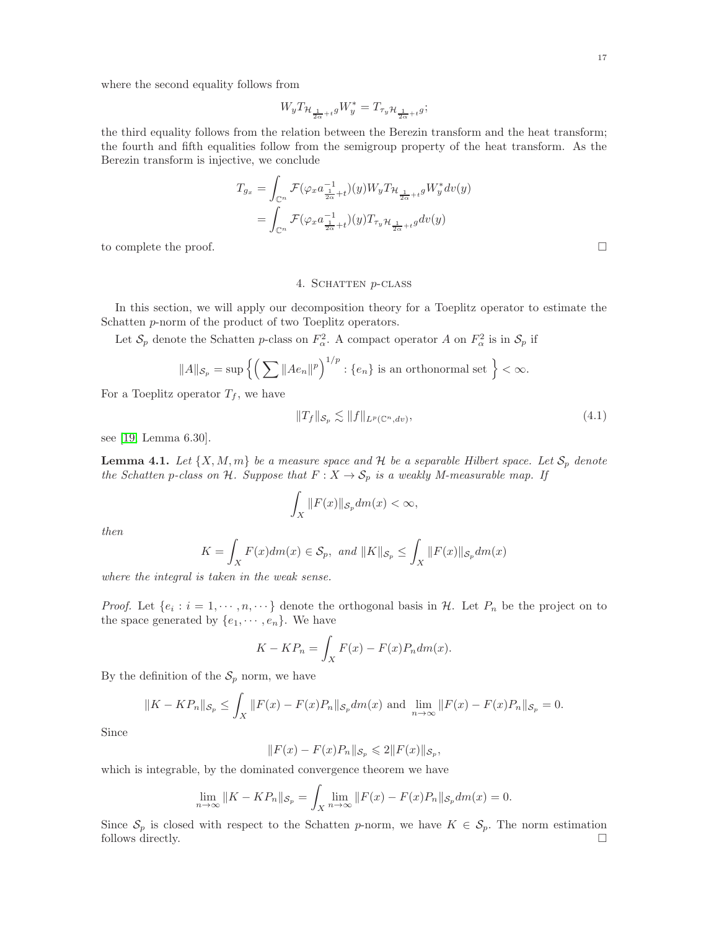where the second equality follows from

$$
W_yT_{\mathcal{H}_{\frac{1}{2\alpha}+t}g}W_y^*=T_{\tau_y\mathcal{H}_{\frac{1}{2\alpha}+t}g};
$$

the third equality follows from the relation between the Berezin transform and the heat transform; the fourth and fifth equalities follow from the semigroup property of the heat transform. As the Berezin transform is injective, we conclude

$$
T_{g_x} = \int_{\mathbb{C}^n} \mathcal{F}(\varphi_x a_{\frac{1}{2\alpha}+t}^{-1})(y) W_y T_{\mathcal{H}_{\frac{1}{2\alpha}+t}} g W_y^* dv(y)
$$
  

$$
= \int_{\mathbb{C}^n} \mathcal{F}(\varphi_x a_{\frac{1}{2\alpha}+t}^{-1})(y) T_{\tau_y} \mathcal{H}_{\frac{1}{2\alpha}+t} g dv(y)
$$
  
to complete the proof.

## 4. SCHATTEN  $p$ -CLASS

In this section, we will apply our decomposition theory for a Toeplitz operator to estimate the Schatten p-norm of the product of two Toeplitz operators.

Let  $S_p$  denote the Schatten p-class on  $F_\alpha^2$ . A compact operator A on  $F_\alpha^2$  is in  $S_p$  if

$$
||A||_{\mathcal{S}_p} = \sup \left\{ \left( \sum ||Ae_n||^p \right)^{1/p} : \{e_n\} \text{ is an orthonormal set } \right\} < \infty.
$$

For a Toeplitz operator  $T_f$ , we have

$$
||T_f||_{\mathcal{S}_p} \lesssim ||f||_{L^p(\mathbb{C}^n, dv)},\tag{4.1}
$$

see [\[19,](#page-21-0) Lemma 6.30].

<span id="page-16-0"></span>**Lemma 4.1.** Let  $\{X, M, m\}$  be a measure space and H be a separable Hilbert space. Let  $S_p$  denote *the Schatten p-class on* H. Suppose that  $F: X \to S_p$  *is a weakly M-measurable map. If* 

$$
\int_X ||F(x)||_{\mathcal{S}_p} dm(x) < \infty,
$$

*then*

$$
K = \int_X F(x)dm(x) \in \mathcal{S}_p, \text{ and } ||K||_{\mathcal{S}_p} \le \int_X ||F(x)||_{\mathcal{S}_p} dm(x)
$$

*where the integral is taken in the weak sense.*

*Proof.* Let  $\{e_i : i = 1, \dots, n, \dots\}$  denote the orthogonal basis in H. Let  $P_n$  be the project on to the space generated by  $\{e_1, \dots, e_n\}$ . We have

$$
K - KP_n = \int_X F(x) - F(x)P_n dm(x).
$$

By the definition of the  $S_p$  norm, we have

$$
||K - KP_n||_{S_p} \le \int_X ||F(x) - F(x)P_n||_{S_p} dm(x)
$$
 and  $\lim_{n \to \infty} ||F(x) - F(x)P_n||_{S_p} = 0$ .

Since

$$
||F(x) - F(x)P_n||_{\mathcal{S}_p} \leq 2||F(x)||_{\mathcal{S}_p},
$$

which is integrable, by the dominated convergence theorem we have

$$
\lim_{n \to \infty} ||K - KP_n||_{\mathcal{S}_p} = \int_X \lim_{n \to \infty} ||F(x) - F(x)P_n||_{\mathcal{S}_p} dm(x) = 0.
$$

Since  $S_p$  is closed with respect to the Schatten p-norm, we have  $K \in S_p$ . The norm estimation follows directly.  $\Box$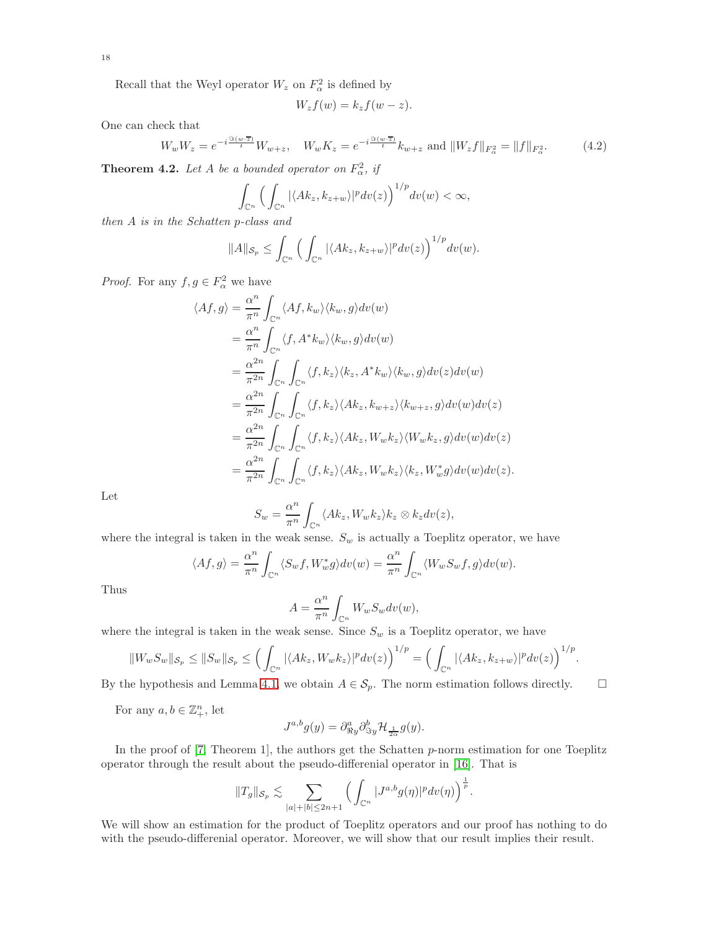Recall that the Weyl operator  $W_z$  on  $F_\alpha^2$  is defined by

$$
W_z f(w) = k_z f(w - z).
$$

One can check that

$$
W_w W_z = e^{-i\frac{\Im(w \cdot \overline{z})}{t}} W_{w+z}, \quad W_w K_z = e^{-i\frac{\Im(w \cdot \overline{z})}{t}} k_{w+z} \text{ and } \|W_z f\|_{F_\alpha^2} = \|f\|_{F_\alpha^2}.
$$
 (4.2)

<span id="page-17-0"></span>**Theorem 4.2.** Let A be a bounded operator on  $F^2_\alpha$ , if

$$
\int_{\mathbb{C}^n} \Big( \int_{\mathbb{C}^n} |\langle Ak_z, k_{z+w} \rangle|^p dv(z) \Big)^{1/p} dv(w) < \infty,
$$

*then* A *is in the Schatten* p*-class and*

$$
||A||_{\mathcal{S}_p} \leq \int_{\mathbb{C}^n} \Big( \int_{\mathbb{C}^n} |\langle Ak_z, k_{z+w} \rangle|^p dv(z) \Big)^{1/p} dv(w).
$$

*Proof.* For any  $f, g \in F^2_\alpha$  we have

$$
\langle Af, g \rangle = \frac{\alpha^n}{\pi^n} \int_{\mathbb{C}^n} \langle Af, k_w \rangle \langle k_w, g \rangle dv(w)
$$
  
\n
$$
= \frac{\alpha^n}{\pi^n} \int_{\mathbb{C}^n} \langle f, A^* k_w \rangle \langle k_w, g \rangle dv(w)
$$
  
\n
$$
= \frac{\alpha^{2n}}{\pi^{2n}} \int_{\mathbb{C}^n} \int_{\mathbb{C}^n} \langle f, k_z \rangle \langle k_z, A^* k_w \rangle \langle k_w, g \rangle dv(z) dv(w)
$$
  
\n
$$
= \frac{\alpha^{2n}}{\pi^{2n}} \int_{\mathbb{C}^n} \int_{\mathbb{C}^n} \langle f, k_z \rangle \langle Ak_z, k_{w+z} \rangle \langle k_{w+z}, g \rangle dv(w) dv(z)
$$
  
\n
$$
= \frac{\alpha^{2n}}{\pi^{2n}} \int_{\mathbb{C}^n} \int_{\mathbb{C}^n} \langle f, k_z \rangle \langle Ak_z, W_w k_z \rangle \langle W_w k_z, g \rangle dv(w) dv(z)
$$
  
\n
$$
= \frac{\alpha^{2n}}{\pi^{2n}} \int_{\mathbb{C}^n} \int_{\mathbb{C}^n} \langle f, k_z \rangle \langle Ak_z, W_w k_z \rangle \langle k_z, W_w^* g \rangle dv(w) dv(z).
$$

Let

$$
S_w = \frac{\alpha^n}{\pi^n} \int_{\mathbb{C}^n} \langle Ak_z, W_w k_z \rangle k_z \otimes k_z dv(z),
$$

where the integral is taken in the weak sense.  $S_w$  is actually a Toeplitz operator, we have

$$
\langle Af, g \rangle = \frac{\alpha^n}{\pi^n} \int_{\mathbb{C}^n} \langle S_w f, W_w^* g \rangle dv(w) = \frac{\alpha^n}{\pi^n} \int_{\mathbb{C}^n} \langle W_w S_w f, g \rangle dv(w).
$$

Thus

$$
A = \frac{\alpha^n}{\pi^n} \int_{\mathbb{C}^n} W_w S_w dv(w),
$$

where the integral is taken in the weak sense. Since  $S_w$  is a Toeplitz operator, we have

$$
||W_wS_w||_{\mathcal{S}_p}\leq ||S_w||_{\mathcal{S}_p}\leq \Big(\int_{\mathbb{C}^n} |\langle Ak_z,W_wk_z\rangle|^p dv(z)\Big)^{1/p}=\Big(\int_{\mathbb{C}^n} |\langle Ak_z,k_{z+w}\rangle|^p dv(z)\Big)^{1/p}.
$$

By the hypothesis and Lemma [4.1,](#page-16-0) we obtain  $A \in \mathcal{S}_p$ . The norm estimation follows directly.  $\square$ 

For any  $a, b \in \mathbb{Z}_+^n$ , let

$$
J^{a,b}g(y) = \partial_{\Re y}^a \partial_{\Im y}^b \mathcal{H}_{\frac{1}{2\alpha}} g(y).
$$

In the proof of  $[7,$  Theorem 1], the authors get the Schatten  $p$ -norm estimation for one Toeplitz operator through the result about the pseudo-differenial operator in [\[16\]](#page-21-4). That is

$$
||T_g||_{\mathcal{S}_p} \lesssim \sum_{|a|+|b| \leq 2n+1} \Big( \int_{\mathbb{C}^n} |J^{a,b}g(\eta)|^p dv(\eta) \Big)^{\frac{1}{p}}.
$$

We will show an estimation for the product of Toeplitz operators and our proof has nothing to do with the pseudo-differenial operator. Moreover, we will show that our result implies their result.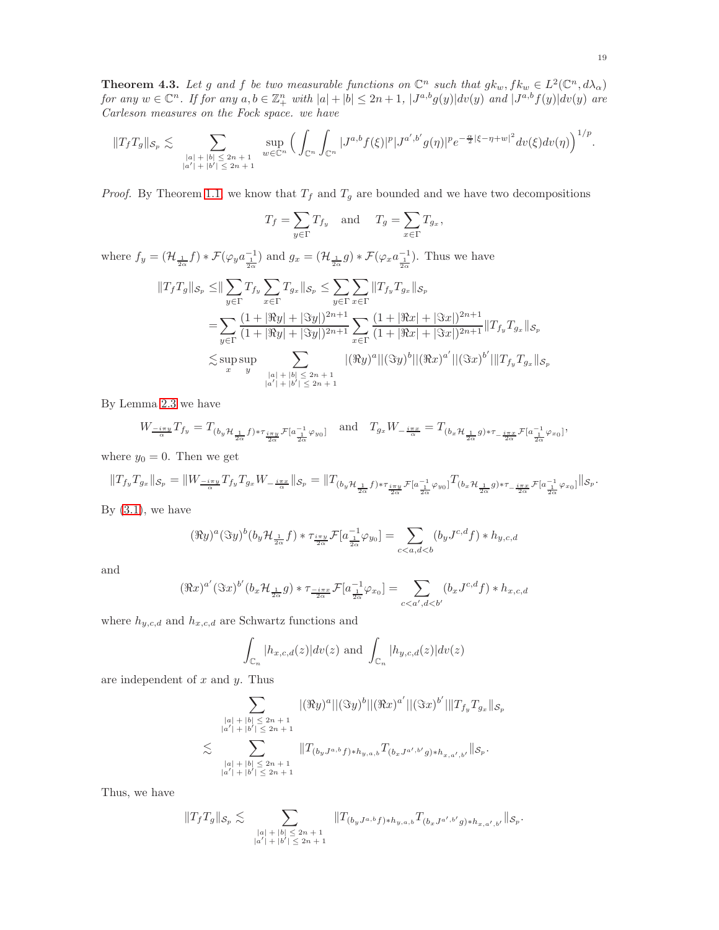<span id="page-18-0"></span>**Theorem 4.3.** Let g and f be two measurable functions on  $\mathbb{C}^n$  such that  $g k_w, f k_w \in L^2(\mathbb{C}^n, d\lambda_\alpha)$  $for any w \in \mathbb{C}^n$ . If  $for any a, b \in \mathbb{Z}_+^n$  with  $|a| + |b| \leq 2n + 1$ ,  $|J^{a,b}g(y)|dv(y)$  and  $|J^{a,b}f(y)|dv(y)$  are *Carleson measures on the Fock space. we have*

$$
||T_fT_g||_{\mathcal{S}_p} \lesssim \sum_{\substack{|a|+|b| \leq 2n+1 \\ |a'|+|b'| \leq 2n+1}} \sup_{w \in \mathbb{C}^n} \Big( \int_{\mathbb{C}^n} \int_{\mathbb{C}^n} |J^{a,b}f(\xi)|^p |J^{a',b'}g(\eta)|^p e^{-\frac{\alpha}{2}|\xi-\eta+w|^2} dv(\xi) dv(\eta) \Big)^{1/p}.
$$

*Proof.* By Theorem [1.1,](#page-3-0) we know that  $T_f$  and  $T_g$  are bounded and we have two decompositions

$$
T_f = \sum_{y \in \Gamma} T_{f_y}
$$
 and  $T_g = \sum_{x \in \Gamma} T_{g_x}$ ,

where  $f_y = (\mathcal{H}_{\frac{1}{2\alpha}}f) * \mathcal{F}(\varphi_y a_{\frac{1}{2\alpha}}^{-1})$  and  $g_x = (\mathcal{H}_{\frac{1}{2\alpha}}g) * \mathcal{F}(\varphi_x a_{\frac{1}{2\alpha}}^{-1})$ . Thus we have

$$
||T_{f}T_{g}||_{S_{p}} \leq ||\sum_{y\in\Gamma}T_{f_{y}}\sum_{x\in\Gamma}T_{g_{x}}||_{S_{p}} \leq \sum_{y\in\Gamma}\sum_{x\in\Gamma}||T_{f_{y}}T_{g_{x}}||_{S_{p}}
$$
  
\n
$$
= \sum_{y\in\Gamma}\frac{(1+|\Re y|+|\Im y|)^{2n+1}}{(1+|\Re y|+|\Im y|)^{2n+1}}\sum_{x\in\Gamma}\frac{(1+|\Re x|+|\Im x|)^{2n+1}}{(1+|\Re x|+|\Im x|)^{2n+1}}||T_{f_{y}}T_{g_{x}}||_{S_{p}}
$$
  
\n
$$
\lesssim \sup_{x} \sup_{y} \sum_{\substack{|a|+|b| \leq 2n+1\\|a'|+|b'| \leq 2n+1}} |(\Re y)^{a}||(\Im y)^{b}||(\Re x)^{a'}||(\Im x)^{b'}||T_{f_{y}}T_{g_{x}}||_{S_{p}}
$$

By Lemma [2.3](#page-7-0) we have

$$
W_{\frac{-i\pi y}{\alpha}}T_{f_y} = T_{(b_y\mathcal{H}_{\frac{1}{2\alpha}}f)*\tau_{\frac{i\pi y}{2\alpha}}\mathcal{F}[a_{\frac{1}{2\alpha}}^{-1}\varphi_{y_0}]} \quad \text{and} \quad T_{g_x}W_{-\frac{i\pi x}{\alpha}} = T_{(b_x\mathcal{H}_{\frac{1}{2\alpha}}g)*\tau_{-\frac{i\pi x}{2\alpha}}\mathcal{F}[a_{\frac{1}{2\alpha}}^{-1}\varphi_{x_0}]},
$$

where  $y_0 = 0$ . Then we get

$$
\|T_{f_y}T_{g_x}\|_{\mathcal{S}_p}=\|W_{\frac{-i\pi y}{\alpha}}T_{f_y}T_{g_x}W_{-\frac{i\pi x}{\alpha}}\|_{\mathcal{S}_p}=\|T_{(b_y\mathcal{H}_{\frac{1}{2\alpha}}f)^*\tau_{\frac{i\pi y}{2\alpha}}\mathcal{F}[a_{\frac{1}{2\alpha}}^{-1}\varphi_{y_0}]^T(b_x\mathcal{H}_{\frac{1}{2\alpha}}g)^*\tau_{-\frac{i\pi x}{2\alpha}}\mathcal{F}[a_{\frac{1}{2\alpha}}^{-1}\varphi_{x_0}]\|_{\mathcal{S}_p}.
$$

By  $(3.1)$ , we have

$$
(\Re y)^a(\Im y)^b(b_y{\mathcal H}_{\frac{1}{2\alpha}}f)*\tau_{\frac{i\pi y}{2\alpha}}{\mathcal F}[a_{\frac{1}{2\alpha}}^{-1}\varphi_{y_0}]=\sum_{c
$$

and

$$
(\Re x)^{a'}(\Im x)^{b'}(b_x \mathcal{H}_{\frac{1}{2\alpha}}g) * \tau_{\frac{-i\pi x}{2\alpha}} \mathcal{F}[a_{\frac{1}{2\alpha}}^{-1} \varphi_{x_0}] = \sum_{c < a', d < b'} (b_x J^{c,d} f) * h_{x,c,d}
$$

where  $h_{y,c,d}$  and  $h_{x,c,d}$  are Schwartz functions and

$$
\int_{\mathbb{C}_n} |h_{x,c,d}(z)| dv(z) \text{ and } \int_{\mathbb{C}_n} |h_{y,c,d}(z)| dv(z)
$$

are independent of  $x$  and  $y$ . Thus

$$
\sum_{\substack{|a|+|b| \leq 2n+1 \\ |a'|+|b'| \leq 2n+1}} |\langle \Re y \rangle^a ||(\Im y)^b ||(\Re x)^{a'}|| (\Im x)^{b'}||T_{f_y}T_{g_x}||_{\mathcal{S}_p} \n\lesssim \sum_{\substack{|a|+|b| \leq 2n+1 \\ |a'|+|b'| \leq 2n+1}} \|T_{(b_yJ^{a,b}f)*h_{y,a,b}}T_{(b_xJ^{a',b'}g)*h_{x,a',b'}}||_{\mathcal{S}_p}.
$$

Thus, we have

$$
\|T_fT_g\|_{\mathcal{S}_p} \lesssim \sum_{\substack{|a|+|b| \leq 2n+1 \\ |a'|+|b'| \leq 2n+1}} \|T_{(b_yJ^{a,b}f)\ast h_{y,a,b}}T_{(b_xJ^{a',b'}g)\ast h_{x,a',b'}}\|_{\mathcal{S}_p}.
$$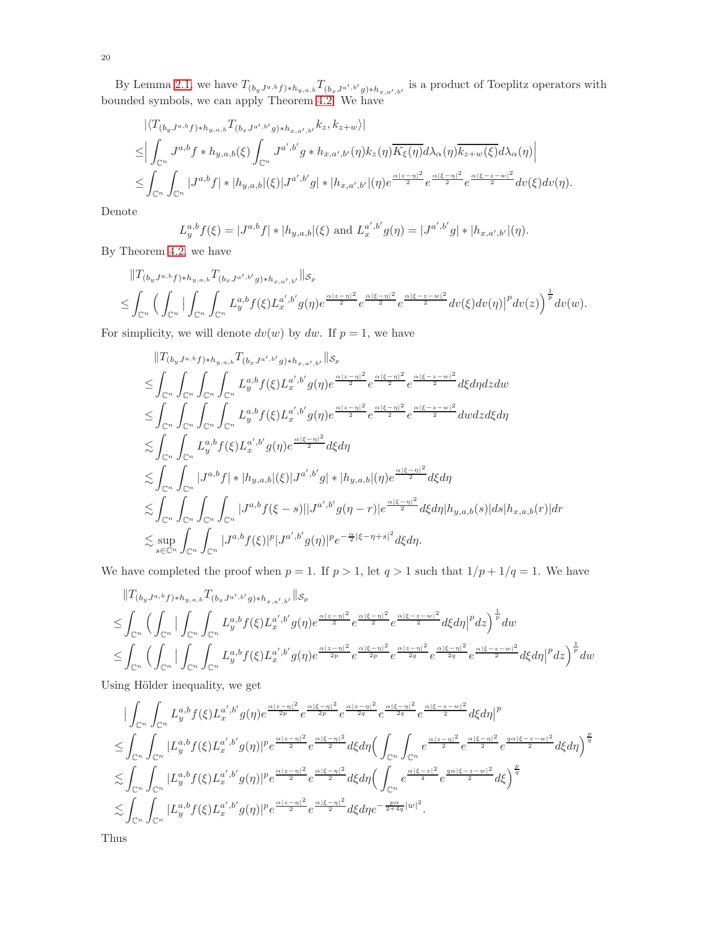By Lemma [2.1,](#page-5-0) we have  $T_{(b_yJ^{a,b}f)*h_{y,a,b}}T_{(b_xJ^{a',b'}g)*h_{x,a',b'}}$  is a product of Toeplitz operators with bounded symbols, we can apply Theorem [4.2.](#page-17-0) We have

$$
\langle T_{(b_yJ^{a,b}f)*h_{y,a,b}}T_{(b_xJ^{a',b'}g)*h_{x,a',b'}}k_z, k_{z+w}\rangle|
$$
  
\n
$$
\leq \left| \int_{\mathbb{C}^n} J^{a,b}f*h_{y,a,b}(\xi) \int_{\mathbb{C}^n} J^{a',b'}g*h_{x,a',b'}(\eta)k_z(\eta) \overline{K_{\xi}(\eta)} d\lambda_{\alpha}(\eta) \overline{k_{z+w}(\xi)} d\lambda_{\alpha}(\eta) \right|
$$
  
\n
$$
\leq \int_{\mathbb{C}^n} \int_{\mathbb{C}^n} |J^{a,b}f|*|h_{y,a,b}|(\xi)|J^{a',b'}g|*|h_{x,a',b'}|(\eta) e^{\frac{\alpha|z-\eta|^2}{2}} e^{\frac{\alpha|\xi-\eta|^2}{2}} e^{\frac{\alpha|\xi-z-w|^2}{2}} d\nu(\xi) d\nu(\eta).
$$

Denote

$$
L_y^{a,b} f(\xi) = |J^{a,b} f| * |h_{y,a,b}|(\xi) \text{ and } L_x^{a',b'} g(\eta) = |J^{a',b'} g| * |h_{x,a',b'}|(\eta).
$$

By Theorem [4.2,](#page-17-0) we have

$$
\begin{split} &\|T_{(b_yJ^{a,b}f)*h_{y,a,b}}T_{(b_xJ^{a',b'}g)*h_{x,a',b'}}\|_{\mathcal{S}_p} \\ &\leq \int_{\mathbb{C}^n} \Big(\int_{\mathbb{C}^n} \Big|\int_{\mathbb{C}^n} \int_{\mathbb{C}^n} L_y^{a,b}f(\xi)L_x^{a',b'}g(\eta)e^{\frac{\alpha|z-\eta|^2}{2}}e^{\frac{\alpha|\xi-\eta|^2}{2}}e^{\frac{\alpha|\xi-z-w|^2}{2}}dv(\xi)dv(\eta)\Big|^p dv(z)\Big)^{\frac{1}{p}}dv(w). \end{split}
$$

For simplicity, we will denote  $dv(w)$  by  $dw$ . If  $p = 1$ , we have

$$
||T_{(b_yJ^{a,b}f)*h_{y,a,b}}T_{(b_xJ^{a',b'}g)*h_{x,a',b'}}||s_p
$$
  
\n
$$
\leq \int_{\mathbb{C}^n} \int_{\mathbb{C}^n} \int_{\mathbb{C}^n} \int_{\mathbb{C}^n} \int_{\mathbb{C}^n} L_y^{a,b} f(\xi) L_x^{a',b'} g(\eta) e^{\frac{\alpha |z-\eta|^2}{2}} e^{\frac{\alpha |\xi-\eta|^2}{2}} e^{\frac{\alpha |\xi-z-w|^2}{2}} d\xi d\eta dz dw
$$
  
\n
$$
\leq \int_{\mathbb{C}^n} \int_{\mathbb{C}^n} \int_{\mathbb{C}^n} \int_{\mathbb{C}^n} \int_{\mathbb{C}^n} L_y^{a,b} f(\xi) L_x^{a',b'} g(\eta) e^{\frac{\alpha |z-\eta|^2}{2}} e^{\frac{\alpha |\xi-\eta|^2}{2}} e^{\frac{\alpha |\xi-z-w|^2}{2}} d\eta d\eta dz d\xi d\eta
$$
  
\n
$$
\lesssim \int_{\mathbb{C}^n} \int_{\mathbb{C}^n} L_y^{a,b} f(\xi) L_x^{a',b'} g(\eta) e^{\frac{\alpha |\xi-\eta|^2}{2}} d\xi d\eta
$$
  
\n
$$
\lesssim \int_{\mathbb{C}^n} \int_{\mathbb{C}^n} |J^{a,b} f| * |h_{y,a,b}|(\xi) |J^{a',b'} g| * |h_{y,a,b}|(\eta) e^{\frac{\alpha |\xi-\eta|^2}{2}} d\xi d\eta
$$
  
\n
$$
\lesssim \int_{\mathbb{C}^n} \int_{\mathbb{C}^n} \int_{\mathbb{C}^n} \int_{\mathbb{C}^n} |J^{a,b} f(\xi-s)| |J^{a',b'} g(\eta-r)| e^{\frac{\alpha |\xi-\eta|^2}{2}} d\xi d\eta |h_{y,a,b}(s)| ds |h_{x,a,b}(r)| dr
$$
  
\n
$$
\lesssim \sup_{s \in \mathbb{C}^n} \int_{\mathbb{C}^n} |J^{a,b} f(\xi)|^p |J^{a',b'} g(\eta)|^p e^{-\frac{\alpha}{2} |\xi-\eta+s|^2} d\xi d\eta.
$$

We have completed the proof when  $p = 1$ . If  $p > 1$ , let  $q > 1$  such that  $1/p + 1/q = 1$ . We have

$$
\begin{split} &\|T_{(b_yJ^{a,b}f)*h_{y,a,b}}T_{(b_xJ^{a',b'}g)*h_{x,a',b'}}\|_{\mathcal{S}_p} \\ &\leq \int_{\mathbb{C}^n} \Big(\int_{\mathbb{C}^n}|\int_{\mathbb{C}^n} \int_{\mathbb{C}^n} L_y^{a,b}f(\xi)L_x^{a',b'}g(\eta)e^{\frac{\alpha|z-\eta|^2}{2}}e^{\frac{\alpha|\xi-\eta|^2}{2}}e^{\frac{\alpha|\xi-z-w|^2}{2}}d\xi d\eta\Big|^p dz\Big)^{\frac{1}{p}} dw \\ &\leq \int_{\mathbb{C}^n} \Big(\int_{\mathbb{C}^n}|\int_{\mathbb{C}^n} \int_{\mathbb{C}^n} L_y^{a,b}f(\xi)L_x^{a',b'}g(\eta)e^{\frac{\alpha|z-\eta|^2}{2p}}e^{\frac{\alpha|\xi-\eta|^2}{2p}}e^{\frac{\alpha|z-\eta|^2}{2q}}e^{\frac{\alpha|\xi-\eta|^2}{2q}}e^{\frac{\alpha|\xi-\eta|^2}{2q}}e^{\frac{\alpha|\xi-z-w|^2}{2q}}d\xi d\eta\Big|^p dz\Big)^{\frac{1}{p}} dw \end{split}
$$

Using Hölder inequality, we get

$$
\begin{split} &\qquad|\int_{\mathbb{C}^n}\int_{\mathbb{C}^n}L_y^{a,b}f(\xi)L_x^{a',b'}g(\eta)e^{\frac{\alpha|z-\eta|^2}{2p}}e^{\frac{\alpha|\xi-\eta|^2}{2p}}e^{\frac{\alpha|\xi-\eta|^2}{2q}}e^{\frac{\alpha|\xi-\eta|^2}{2q}}e^{\frac{\alpha|\xi-z-w|^2}{2d}}d\xi d\eta\Big|^p\\ \leq &\int_{\mathbb{C}^n}\int_{\mathbb{C}^n}|L_y^{a,b}f(\xi)L_x^{a',b'}g(\eta)|^pe^{\frac{\alpha|z-\eta|^2}{2}}e^{\frac{\alpha|\xi-\eta|^2}{2}}d\xi d\eta\Big(\int_{\mathbb{C}^n}\int_{\mathbb{C}^n}e^{\frac{\alpha|z-\eta|^2}{2}}e^{\frac{\alpha|\xi-\eta|^2}{2}}e^{\frac{\alpha|\xi-\eta|^2}{2}}e^{\frac{\alpha|\xi-\eta|^2}{2}}e^{\frac{\alpha|\xi-\eta|^2}{2}}d\xi d\eta\Big)^{\frac{p}{q}}\\ \lesssim &\int_{\mathbb{C}^n}\int_{\mathbb{C}^n}|L_y^{a,b}f(\xi)L_x^{a',b'}g(\eta)|^pe^{\frac{\alpha|z-\eta|^2}{2}}e^{\frac{\alpha|\xi-\eta|^2}{2}}d\xi d\eta\Big(\int_{\mathbb{C}^n}e^{\frac{\alpha|\xi-z|^2}{4}}e^{\frac{a\alpha|\xi-z-w|^2}{2}}d\xi\Big)^{\frac{p}{q}}\\ \lesssim &\int_{\mathbb{C}^n}\int_{\mathbb{C}^n}|L_y^{a,b}f(\xi)L_x^{a',b'}g(\eta)|^pe^{\frac{\alpha|z-\eta|^2}{2}}e^{\frac{\alpha|\xi-\eta|^2}{2}}d\xi d\eta e^{-\frac{pa}{2+4q}|w|^2. \end{split}
$$

Thus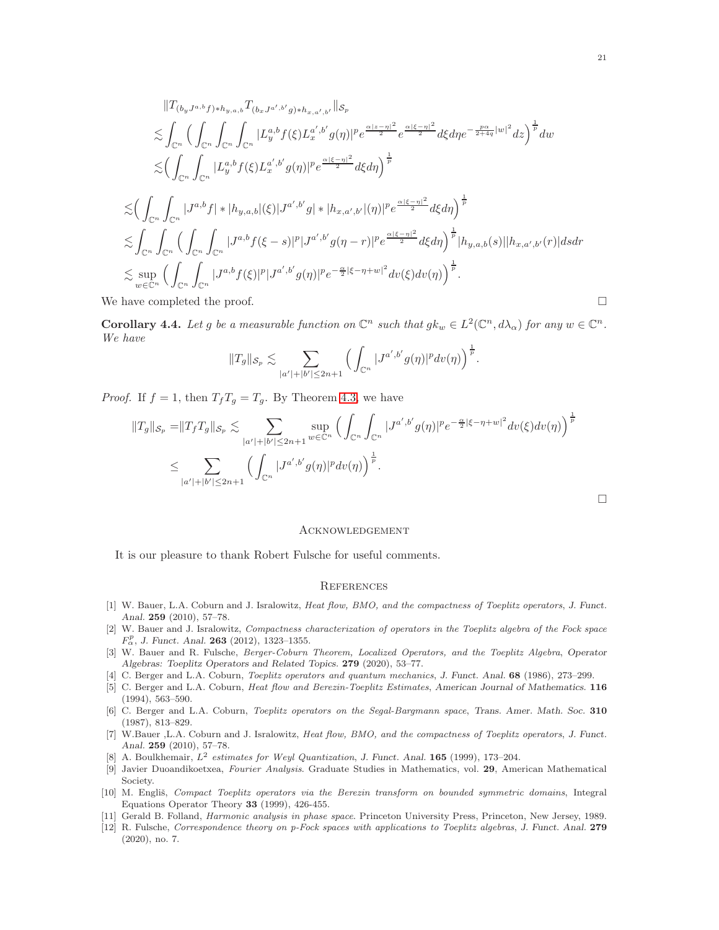$$
||T_{(b_y J^{a,b} f)*h_{y,a,b}}T_{(b_x J^{a',b'} g)*h_{x,a',b'}}||s_p
$$
  
\n
$$
\lesssim \int_{\mathbb{C}^n} \Big( \int_{\mathbb{C}^n} \int_{\mathbb{C}^n} \int_{\mathbb{C}^n} |L_y^{a,b} f(\xi) L_x^{a',b'} g(\eta)|^p e^{\frac{\alpha |z-\eta|^2}{2}} e^{\frac{\alpha |\xi-\eta|^2}{2}} d\xi d\eta e^{-\frac{p\alpha}{2+4q}|w|^2} dz \Big)^{\frac{1}{p}} dw
$$
  
\n
$$
\lesssim \Big( \int_{\mathbb{C}^n} \int_{\mathbb{C}^n} |L_y^{a,b} f(\xi) L_x^{a',b'} g(\eta)|^p e^{\frac{\alpha |\xi-\eta|^2}{2}} d\xi d\eta \Big)^{\frac{1}{p}}
$$
  
\n
$$
\lesssim \Big( \int_{\mathbb{C}^n} \int_{\mathbb{C}^n} |J^{a,b} f| * |h_{y,a,b}|(\xi)| J^{a',b'} g| * |h_{x,a',b'}|(\eta)|^p e^{\frac{\alpha |\xi-\eta|^2}{2}} d\xi d\eta \Big)^{\frac{1}{p}}
$$
  
\n
$$
\lesssim \int_{\mathbb{C}^n} \int_{\mathbb{C}^n} \Big( \int_{\mathbb{C}^n} \int_{\mathbb{C}^n} |J^{a,b} f(\xi - s)|^p |J^{a',b'} g(\eta - r)|^p e^{\frac{\alpha |\xi-\eta|^2}{2}} d\xi d\eta \Big)^{\frac{1}{p}} |h_{y,a,b}(s)| |h_{x,a',b'}(r)| ds dr
$$
  
\n
$$
\lesssim \sup_{w \in \mathbb{C}^n} \Big( \int_{\mathbb{C}^n} \int_{\mathbb{C}^n} |J^{a,b} f(\xi)|^p |J^{a',b'} g(\eta)|^p e^{-\frac{\alpha}{2} |\xi-\eta+w|^2} dv(\xi) dv(\eta) \Big)^{\frac{1}{p}}.
$$
  
\nWe have completed the proof.

**Corollary 4.4.** Let g be a measurable function on  $\mathbb{C}^n$  such that  $g k_w \in L^2(\mathbb{C}^n, d\lambda_\alpha)$  for any  $w \in \mathbb{C}^n$ . *We have*

$$
||T_g||_{S_p} \lesssim \sum_{|a'|+|b'| \leq 2n+1} \Big( \int_{\mathbb{C}^n} |J^{a',b'}g(\eta)|^p dv(\eta) \Big)^{\frac{1}{p}}.
$$

*Proof.* If  $f = 1$ , then  $T_fT_g = T_g$ . By Theorem [4.3,](#page-18-0) we have

$$
||T_g||_{\mathcal{S}_p} = ||T_f T_g||_{\mathcal{S}_p} \lesssim \sum_{|a'|+|b'| \le 2n+1} \sup_{w \in \mathbb{C}^n} \Big( \int_{\mathbb{C}^n} \int_{\mathbb{C}^n} |J^{a',b'}g(\eta)|^p e^{-\frac{\alpha}{2}|\xi-\eta+w|^2} dv(\xi) dv(\eta) \Big)^{\frac{1}{p}}
$$
  

$$
\le \sum_{|a'|+|b'| \le 2n+1} \Big( \int_{\mathbb{C}^n} |J^{a',b'}g(\eta)|^p dv(\eta) \Big)^{\frac{1}{p}}.
$$

 $\Box$ 

## Acknowledgement

It is our pleasure to thank Robert Fulsche for useful comments.

#### **REFERENCES**

- [1] W. Bauer, L.A. Coburn and J. Isralowitz, Heat flow, BMO, and the compactness of Toeplitz operators, *J. Funct. Anal.* 259 (2010), 57–78.
- <span id="page-20-2"></span>[2] W. Bauer and J. Isralowitz, Compactness characterization of operators in the Toeplitz algebra of the Fock space  $F_{\alpha}^{p}$ , *J. Funct. Anal.* **263** (2012), 1323-1355.
- <span id="page-20-3"></span>[3] W. Bauer and R. Fulsche, Berger-Coburn Theorem, Localized Operators, and the Toeplitz Algebra, *Operator Algebras: Toeplitz Operators and Related Topics.* 279 (2020), 53–77.
- <span id="page-20-0"></span>[4] C. Berger and L.A. Coburn, Toeplitz operators and quantum mechanics, *J. Funct. Anal.* 68 (1986), 273–299.
- [5] C. Berger and L.A. Coburn, Heat flow and Berezin-Toeplitz Estimates, *American Journal of Mathematics.* 116 (1994), 563–590.
- [6] C. Berger and L.A. Coburn, Toeplitz operators on the Segal-Bargmann space, *Trans. Amer. Math. Soc.* 310 (1987), 813–829.
- <span id="page-20-5"></span>[7] W.Bauer ,L.A. Coburn and J. Isralowitz, Heat flow, BMO, and the compactness of Toeplitz operators, *J. Funct. Anal.* 259 (2010), 57–78.
- <span id="page-20-4"></span>[8] A. Boulkhemair, L<sup>2</sup> estimates for Weyl Quantization, *J. Funct. Anal.* 165 (1999), 173–204.
- [9] Javier Duoandikoetxea, Fourier Analysis. Graduate Studies in Mathematics, vol. 29, American Mathematical Society.
- <span id="page-20-1"></span>[10] M. Engliš, Compact Toeplitz operators via the Berezin transform on bounded symmetric domains, Integral Equations Operator Theory 33 (1999), 426-455.
- [11] Gerald B. Folland, Harmonic analysis in phase space. Princeton University Press, Princeton, New Jersey, 1989.
- [12] R. Fulsche, Correspondence theory on p-Fock spaces with applications to Toeplitz algebras, *J. Funct. Anal.* 279 (2020), no. 7.